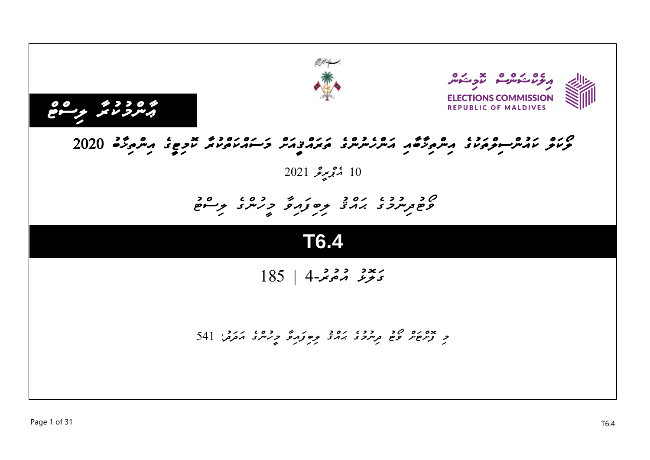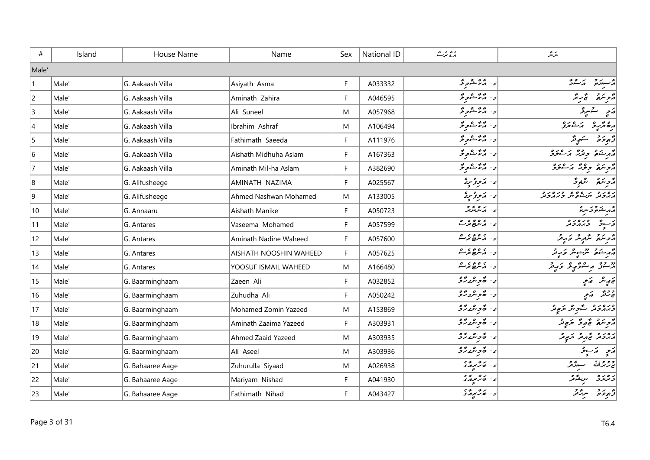| #               | Island | House Name       | Name                   | Sex       | National ID | ، ه ، ره<br>د ، برگ          | ىئرىتر                                                                        |
|-----------------|--------|------------------|------------------------|-----------|-------------|------------------------------|-------------------------------------------------------------------------------|
| Male'           |        |                  |                        |           |             |                              |                                                                               |
|                 | Male'  | G. Aakaash Villa | Asiyath Asma           | F         | A033332     | ى بەرگەشى بۇ                 | أتم سوري الاستوق                                                              |
| 2               | Male'  | G. Aakaash Villa | Aminath Zahira         | F         | A046595     | ى ئۇ ئۇيغۇر                  | ومحر يتمريمه                                                                  |
| $\vert$ 3       | Male'  | G. Aakaash Villa | Ali Suneel             | M         | A057968     | ى بۇ ئۇشوقە                  | ړَ په سنه سرچر                                                                |
| $\overline{4}$  | Male'  | G. Aakaash Villa | Ibrahim Ashraf         | M         | A106494     | ى ئەڭمەشمۇقە                 | ە ھەترىرى<br>رەھىرىرى                                                         |
| $\overline{5}$  | Male'  | G. Aakaash Villa | Fathimath Saeeda       | F         | A111976     | ى ئەڭ شورگە                  | رُّجِرَة سَهِيدٌ                                                              |
| $\vert 6 \vert$ | Male'  | G. Aakaash Villa | Aishath Midhuha Aslam  | F         | A167363     | ، دېم شورته                  | وكرمشقى وفرش وكالموكو                                                         |
| 7               | Male'  | G. Aakaash Villa | Aminath Mil-ha Aslam   | F         | A382690     | ى بەرگەشقىرىتى               | أدويتم وود أيده ود                                                            |
| 8               | Male'  | G. Alifusheege   | AMINATH NAZIMA         | F         | A025567     | ى بە ئەبۇقۇمبۇ               | أزويتم تتفوقه                                                                 |
| $ 9\rangle$     | Male'  | G. Alifusheege   | Ahmed Nashwan Mohamed  | M         | A133005     | ى بە ئەبۇ ئۇ ئەيدى           | رەر دېرەپە درەرد<br>مەردىر س                                                  |
| $ 10\rangle$    | Male'  | G. Annaaru       | Aishath Manike         | F         | A050723     | ى سىر ھەمبىرىتى              | و مرکز در مرکز میں پاکستانی کے مرکز میں ملک<br>مرکز میں مرکز میں مرکز میں ملک |
| 11              | Male'  | G. Antares       | Vaseema Mohamed        | F         | A057599     | ى ئەشھۇر ھ                   | ى بەش دىرەرد                                                                  |
| 12              | Male'  | G. Antares       | Aminath Nadine Waheed  | F         | A057600     | ى ئەھۋىمرىشى                 | مزويتم تمبرش وكبار                                                            |
| 13              | Male'  | G. Antares       | AISHATH NOOSHIN WAHEED | F         | A057625     | ى ئەشھۇر ش                   | و<br>وأمر شكوتمو التر شونش الأمريكي                                           |
| 14              | Male'  | G. Antares       | YOOSUF ISMAIL WAHEED   | ${\sf M}$ | A166480     | ى ئەشھۇر شە                  | د ده ده مرگوری و در                                                           |
| 15              | Male'  | G. Baarminghaam  | Zaeen Ali              | F         | A032852     | ى بەھمەسىدىگە                | ىمەش مەر                                                                      |
| 16              | Male'  | G. Baarminghaam  | Zuhudha Ali            | F         | A050242     | ى قۇچىرىدىگە                 | ة حرقته وسي                                                                   |
| 17              | Male'  | G. Baarminghaam  | Mohamed Zomin Yazeed   | M         | A153869     | ى قۇچىرىدىگە                 | ورورو څرمه کړې ته                                                             |
| 18              | Male'  | G. Baarminghaam  | Aminath Zaaima Yazeed  | F         | A303931     | ى قۇچىرىدىگە                 | הכתב המכ המב                                                                  |
| 19              | Male'  | G. Baarminghaam  | Ahmed Zaaid Yazeed     | M         | A303935     | ى قۇچىرىدىگە                 | גפגב הבובל תוד ב                                                              |
| 20              | Male'  | G. Baarminghaam  | Ali Aseel              | M         | A303936     | ى قۇچىرىمى ئەق               | ړې د سوقر                                                                     |
| 21              | Male'  | G. Bahaaree Aage | Zuhurulla Siyaad       | M         | A026938     | ى ئەرگىردى<br>ئ              | یر حیرالله سورتر                                                              |
| 22              | Male'  | G. Bahaaree Aage | Mariyam Nishad         | F         | A041930     | ر کار بود د<br>د ۱ گار بود د | ر ه ر ه<br>تر بر بر<br>سريڪور<br>ر                                            |
| 23              | Male'  | G. Bahaaree Aage | Fathimath Nihad        | F         | A043427     | ى ئەرگىردى<br>ئ              | قهوزة سرجم                                                                    |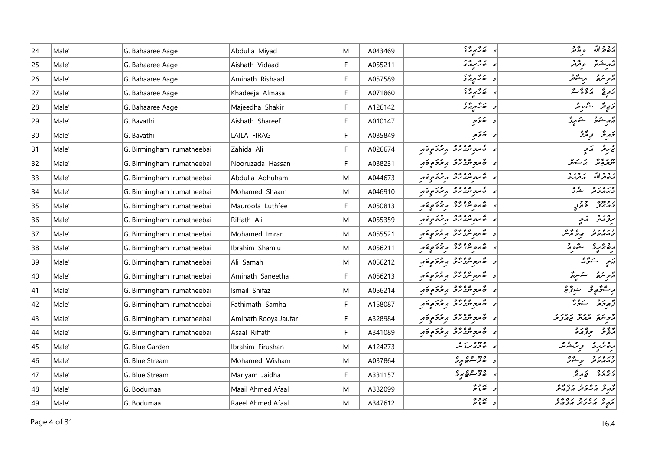| 24 | Male' | G. Bahaaree Aage           | Abdulla Miyad        | M  | A043469 | ئەڭ ئەرەم ئ                       | برە قراللە<br>ر برگر                                                                                                                                                                                                            |
|----|-------|----------------------------|----------------------|----|---------|-----------------------------------|---------------------------------------------------------------------------------------------------------------------------------------------------------------------------------------------------------------------------------|
| 25 | Male' | G. Bahaaree Aage           | Aishath Vidaad       | F. | A055211 | <br>  ئەن ئەڭ ئېر <b>ە</b> ر ئ    | حوفرقر<br>پ <sup>ھ</sup> پر ڪويج                                                                                                                                                                                                |
| 26 | Male' | G. Bahaaree Aage           | Aminath Rishaad      | F  | A057589 | ئەڭ ئىرادى<br>  ئەڭ ئىرادى        | أأدوسكم المتحمد                                                                                                                                                                                                                 |
| 27 | Male' | G. Bahaaree Aage           | Khadeeja Almasa      | F  | A071860 | $57 - 20.5$                       | رەۋشە<br>  تر ورقعً                                                                                                                                                                                                             |
| 28 | Male' | G. Bahaaree Aage           | Majeedha Shakir      | F  | A126142 | ى ئەڭ بىرەكى<br>ئ                 | دَي <sub>وٍ</sub> تَرٌ شَ <sub>مَ</sub> رِيرُ                                                                                                                                                                                   |
| 29 | Male' | G. Bavathi                 | Aishath Shareef      | F  | A010147 | ی که کوهی                         | و د شو شو د د کار د کار د کار د کار د کار د کار د کار د کار د کار د کار د کار د کار د کار د کار د کار د کار د<br>مار کار کار کار د کار د کار د کار د کار د کار د کار د کار د کار کار د کار کار کار کار د کار کار کار کار کار کا |
| 30 | Male' | G. Bavathi                 | LAILA FIRAG          | F  | A035849 | ی که کوهی                         | تمدثر ويزة                                                                                                                                                                                                                      |
| 31 | Male' | G. Birmingham Irumatheebai | Zahida Ali           | F  | A026674 |                                   | ې په کړې<br>م                                                                                                                                                                                                                   |
| 32 | Male' | G. Birmingham Irumatheebai | Nooruzada Hassan     | F  | A038231 | ى ھىروسى ئە مىدە مەم              | در دره در برگستر میکند.<br>سرهری فر                                                                                                                                                                                             |
| 33 | Male' | G. Birmingham Irumatheebai | Abdulla Adhuham      | M  | A044673 |                                   | ەھىراللە<br>ەردەرە                                                                                                                                                                                                              |
| 34 | Male' | G. Birmingham Irumatheebai | Mohamed Shaam        | M  | A046910 |                                   | ورەر دەر يە                                                                                                                                                                                                                     |
| 35 | Male' | G. Birmingham Irumatheebai | Mauroofa Luthfee     | F. | A050813 | ى ھىروسى ئە مەدەم ھەر             | ر و دور<br>تر پرتر<br>ترجمي                                                                                                                                                                                                     |
| 36 | Male' | G. Birmingham Irumatheebai | Riffath Ali          | M  | A055359 |                                   | برودة وكمع                                                                                                                                                                                                                      |
| 37 | Male' | G. Birmingham Irumatheebai | Mohamed Imran        | M  | A055521 | ى ھىروسى ئە مەركەم ھەر            | وره رو و ده.                                                                                                                                                                                                                    |
| 38 | Male' | G. Birmingham Irumatheebai | Ibrahim Shamiu       | M  | A056211 | ى ھەردىدى ئە مەردە ھەر            | ەر ھەتتەر 2<br>ر<br>ستگردگر                                                                                                                                                                                                     |
| 39 | Male' | G. Birmingham Irumatheebai | Ali Samah            | M  | A056212 |                                   | أوسمح سنوجز                                                                                                                                                                                                                     |
| 40 | Male' | G. Birmingham Irumatheebai | Aminath Saneetha     | F  | A056213 | ى ھىروسى ئە مەنزە مەن             | ۇ بەيدە كەلبەتم                                                                                                                                                                                                                 |
| 41 | Male' | G. Birmingham Irumatheebai | Ismail Shifaz        | M  | A056214 |                                   | ر مەركەر ئىسىرىسى<br>بار مەركەر كەن ئىسىرىسى                                                                                                                                                                                    |
| 42 | Male' | G. Birmingham Irumatheebai | Fathimath Samha      | F  | A158087 | 3. قامر وسي من مرير و موقع الم    | و څې د ځه<br>سەۋىر                                                                                                                                                                                                              |
| 43 | Male' | G. Birmingham Irumatheebai | Aminath Rooya Jaufar | F  | A328984 | ى ھىروسى ئە مەركبوھىر             | ת גב בבת גבוד.<br>הכיתם מהית בהציג                                                                                                                                                                                              |
| 44 | Male' | G. Birmingham Irumatheebai | Asaal Riffath        | F  | A341089 | ى ھىروسى ئە مەترە ھەر             | و و ده ده.<br>د څو د مروه و                                                                                                                                                                                                     |
| 45 | Male' | G. Blue Garden             | Ibrahim Firushan     | M  | A124273 | ە دەپەر بەر<br>يەس ھىرى ئىرى ئىر  | رەنزىر رىزىشىر                                                                                                                                                                                                                  |
| 46 | Male' | G. Blue Stream             | Mohamed Wisham       | M  | A037864 | 0.0070.5                          | و ر ه ر د<br>تر پر ژ تر<br>ە مەشىمى                                                                                                                                                                                             |
| 47 | Male' | G. Blue Stream             | Mariyam Jaidha       | F  | A331157 | ه ده ده ده و ه<br>د ۱ هنر سوم برد | ر ه بر ه<br><del>ر</del> بربرگر<br>تح پر قر                                                                                                                                                                                     |
| 48 | Male' | G. Bodumaa                 | Maail Ahmed Afaal    | M  | A332099 | $550 - 5$                         | و و برورد بره ده و                                                                                                                                                                                                              |
| 49 | Male' | G. Bodumaa                 | Raeel Ahmed Afaal    | M  | A347612 | $55 - 5$                          | ر و رور د روده<br>برد و دروند د وره                                                                                                                                                                                             |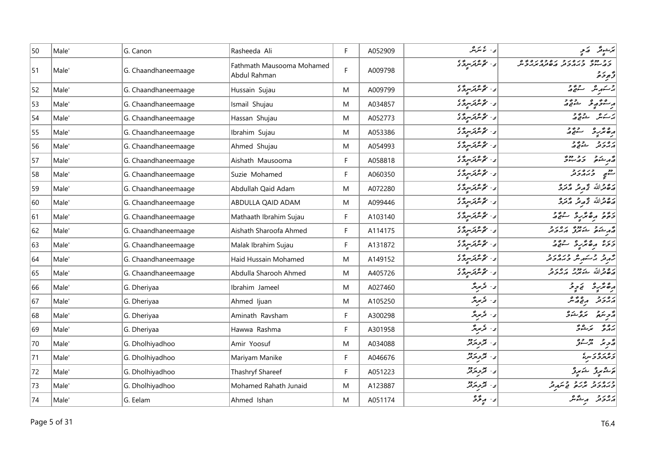| 50 | Male' | G. Canon            | Rasheeda Ali                              | F  | A052909 | ى - ئائىرىش                                | يَرَڪونَدُ - ايرَ يَوِ                                                                       |
|----|-------|---------------------|-------------------------------------------|----|---------|--------------------------------------------|----------------------------------------------------------------------------------------------|
| 51 | Male' | G. Chaandhaneemaage | Fathmath Mausooma Mohamed<br>Abdul Rahman | F  | A009798 | ى ، ئۇشكىرسىدىگە ئ                         | י ד מי י ד ג סיד ג ס ד סיד ה שירי ה<br>ד ה ה-ד כ ה הרב ה ה סיבה ה הרב ייק<br>ا تو بر در<br>ا |
| 52 | Male' | G. Chaandhaneemaage | Hussain Sujau                             | M  | A009799 | <sub>ى</sub> ، ئۇسرىرسرچ <sup>ى</sup>      | چرىسى سىقىم                                                                                  |
| 53 | Male' | G. Chaandhaneemaage | Ismail Shujau                             | M  | A034857 | <sub>ى</sub> ، ئۇسرىرسرچ <sup>ى</sup>      | د قيم د قيم د قيم د                                                                          |
| 54 | Male' | G. Chaandhaneemaage | Hassan Shujau                             | M  | A052773 | ى گەش ئەرسىدى                              | برسكس المشترقين                                                                              |
| 55 | Male' | G. Chaandhaneemaage | Ibrahim Sujau                             | M  | A053386 | ى سەھەر بولى                               | ە ھەترىر <sup>ى</sup><br>ستەھەر                                                              |
| 56 | Male' | G. Chaandhaneemaage | Ahmed Shujau                              | M  | A054993 | ى سەھەر بىرى                               | رەر دەرد<br>مەردىر شەق                                                                       |
| 57 | Male' | G. Chaandhaneemaage | Aishath Mausooma                          | F  | A058818 | ى سەھەر بەر                                | و در دره<br>مگرشوه و در دو                                                                   |
| 58 | Male' | G. Chaandhaneemaage | Suzie Mohamed                             | F  | A060350 | ى سەھەر سەرتى                              | دو په دره دو                                                                                 |
| 59 | Male' | G. Chaandhaneemaage | Abdullah Qaid Adam                        | M  | A072280 | ى سەھەر بىر ئەس                            | أروحهالله تجميعه محدد                                                                        |
| 60 | Male' | G. Chaandhaneemaage | ABDULLA QAID ADAM                         | M  | A099446 | ى سەھەر ئىرىگە ئ                           | مَصْعَدَاللَّهُ تَحْصِرَ مَعْدَدَ                                                            |
| 61 | Male' | G. Chaandhaneemaage | Mathaath Ibrahim Sujau                    | F  | A103140 | ى سەھەر بورى                               |                                                                                              |
| 62 | Male' | G. Chaandhaneemaage | Aishath Sharoofa Ahmed                    | F  | A114175 | ى سەھەر ئىرىگە ئ                           |                                                                                              |
| 63 | Male' | G. Chaandhaneemaage | Malak Ibrahim Sujau                       | F. | A131872 | <sub>ى س</sub> ەمگەنگەرسىدىگە ئى           | دره ره پژرو دود                                                                              |
| 64 | Male' | G. Chaandhaneemaage | Haid Hussain Mohamed                      | M  | A149152 | <sub>ى س</sub> ەھمەتكە سوچ <sup>ى</sup>    | مهر د د کشته شده در د د                                                                      |
| 65 | Male' | G. Chaandhaneemaage | Abdulla Sharooh Ahmed                     | M  | A405726 | <br>  ئەستىم ئىرىكىز س <sub>ى</sub> رىگە ئ | رە داللە خەمزد برە رو                                                                        |
| 66 | Male' | G. Dheriyaa         | Ibrahim Jameel                            | M  | A027460 | ى قرىرىژ                                   | رە ئرىر ئىچە                                                                                 |
| 67 | Male' | G. Dheriyaa         | Ahmed Ijuan                               | M  | A105250 | ى گەرگە                                    | גפגב הבבית                                                                                   |
| 68 | Male' | G. Dheriyaa         | Aminath Ravsham                           | F  | A300298 | ى ئىرىرىد                                  | پر <i>ہ</i><br>مربوشہ بر<br>و څخه سره                                                        |
| 69 | Male' | G. Dheriyaa         | Hawwa Rashma                              | F  | A301958 | ى قرىرىژ                                   | رەپ برشۇ                                                                                     |
| 70 | Male' | G. Dholhiyadhoo     | Amir Yoosuf                               | M  | A034088 | ى بە ئىزىر برود<br>مەسىر                   | پر پر پر دو                                                                                  |
| 71 | Male' | G. Dholhiyadhoo     | Mariyam Manike                            | F  | A046676 | ء به محرور دو<br>د اقرمو مرفر              | קסקס<br>  <i>ב</i> ינו <i>נ</i> פלינט                                                        |
| 72 | Male' | G. Dholhiyadhoo     | Thashryf Shareef                          | F. | A051223 | ء سمجميع پر 25<br>و سمجميع پيرونس          | مَ شَمْرِ وْسُ سَمَرِ وْ                                                                     |
| 73 | Male' | G. Dholhiyadhoo     | Mohamed Rahath Junaid                     | M  | A123887 | ء · تروبردد<br>• تروبرتر                   |                                                                                              |
| 74 | Male' | G. Eelam            | Ahmed Ishan                               | M  | A051174 | ى بەرگە                                    | أرەر دىشەر                                                                                   |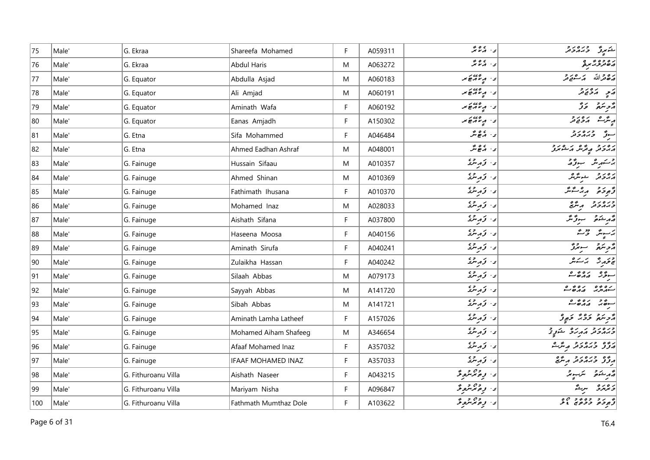| 75  | Male' | G. Ekraa            | Shareefa Mohamed          | F           | A059311 | ى بەر ئەنگە             | شەرق دېرەرد                                                                                                                                  |
|-----|-------|---------------------|---------------------------|-------------|---------|-------------------------|----------------------------------------------------------------------------------------------------------------------------------------------|
| 76  | Male' | G. Ekraa            | <b>Abdul Haris</b>        | M           | A063272 | ى بەر ئەنگە             | ر ه و ه و م<br>د ه تر تر تر <sub>فو</sub>                                                                                                    |
| 77  | Male' | G. Equator          | Abdulla Asjad             | M           | A060183 | $x = \frac{1}{2}$       | مَدْهِ قَدْ اللّهِ مَدَّ مَقْ قَدْ                                                                                                           |
| 78  | Male' | G. Equator          | Ali Amjad                 | M           | A060191 | $x e^{ac}_{A}$          | $\begin{vmatrix} 2 & 2 & 2 \\ 2 & 2 & 2 \end{vmatrix}$                                                                                       |
| 79  | Male' | G. Equator          | Aminath Wafa              | $\mathsf F$ | A060192 | $\frac{1}{\sqrt{2}}$    | أأديتم وتمح                                                                                                                                  |
| 80  | Male' | G. Equator          | Eanas Amjadh              | F           | A150302 | ى مەمەم                 | ړ شرت پره ده.                                                                                                                                |
| 81  | Male' | G. Etna             | Sifa Mohammed             | $\mathsf F$ | A046484 | ى ئەھ ئىگە              | دۇ دىرەرد                                                                                                                                    |
| 82  | Male' | G. Etna             | Ahmed Eadhan Ashraf       | M           | A048001 | ی گەھ تگر               | رور د پژیر ټه ور                                                                                                                             |
| 83  | Male' | G. Fainuge          | Hussain Sifaau            | M           | A010357 | ء وَمرينمنگ             | ج سەر شىر ئەرگە                                                                                                                              |
| 84  | Male' | G. Fainuge          | Ahmed Shinan              | M           | A010369 | ء وَمريندُ              | رەرو شوش                                                                                                                                     |
| 85  | Male' | G. Fainuge          | Fathimath Ihusana         | F           | A010370 | ء وَمريندُ              | ۇۋە قىرىشى                                                                                                                                   |
| 86  | Male' | G. Fainuge          | Mohamed Inaz              | M           | A028033 | ء وَمريندُ              | وره دو دره                                                                                                                                   |
| 87  | Male' | G. Fainuge          | Aishath Sifana            | F           | A037800 | ء وَمريندُ              | ۇرىسكى سوۋىگە                                                                                                                                |
| 88  | Male' | G. Fainuge          | Haseena Moosa             | $\mathsf F$ | A040156 | ، ئەرشى                 | ىز سونىڭ مەھمىگە<br>ئە                                                                                                                       |
| 89  | Male' | G. Fainuge          | Aminath Sirufa            | $\mathsf F$ | A040241 | ، ئەرشى                 | أأرمر سنرتز                                                                                                                                  |
| 90  | Male' | G. Fainuge          | Zulaikha Hassan           | F           | A040242 | <sub>ئ</sub> ئۇمرىترىگە | ة بم تركيب بركت مركز المركز المركز المركز المركز المركز المركز المركز المركز المركز المركز المركز ال                                         |
| 91  | Male' | G. Fainuge          | Silaah Abbas              | M           | A079173 | ء وَمريندُ              | 250/27                                                                                                                                       |
| 92  | Male' | G. Fainuge          | Sayyah Abbas              | M           | A141720 | ء وَمريندُ              | سره ده بره می د                                                                                                                              |
| 93  | Male' | G. Fainuge          | Sibah Abbas               | M           | A141721 | ء وَمريندُ              | رەپچە<br>سوة ج                                                                                                                               |
| 94  | Male' | G. Fainuge          | Aminath Lamha Latheef     | $\mathsf F$ | A157026 | ئ ئۇمەيتىنى             | أزويتم ذوقا ذوو                                                                                                                              |
| 95  | Male' | G. Fainuge          | Mohamed Aiham Shafeeg     | M           | A346654 | <sub>ى</sub> ئۇمرىترىگە | ورەرو رورزۇ خرړپى                                                                                                                            |
| 96  | Male' | G. Fainuge          | Afaaf Mohamed Inaz        | $\mathsf F$ | A357032 | ئ ئۇمرىتىمىگە           | روه درورد پرس.                                                                                                                               |
| 97  | Male' | G. Fainuge          | <b>IFAAF MOHAMED INAZ</b> | F           | A357033 | ئ ئۇمرىتىنى             | وقرق وبرەبرو ويترج                                                                                                                           |
| 98  | Male' | G. Fithuroanu Villa | Aishath Naseer            | $\mathsf F$ | A043215 | <sub>ئ</sub> پوءچمىنىدۇ | أقهر منكفي الترجيح                                                                                                                           |
| 99  | Male' | G. Fithuroanu Villa | Mariyam Nisha             | F           | A096847 | <sub>ئ</sub> وچرىئىموگ  | رەرە سرگ                                                                                                                                     |
| 100 | Male' | G. Fithuroanu Villa | Fathmath Mumthaz Dole     | F           | A103622 | ى بوەچمىتىمۇ            | $\begin{array}{ c c c c c }\hline 0 & 0 & 0 & 0 & 0 & 0 & 0 \\ 0 & 0 & 0 & 0 & 0 & 0 & 0 \\ 0 & 0 & 0 & 0 & 0 & 0 & 0 \\ \hline \end{array}$ |
|     |       |                     |                           |             |         |                         |                                                                                                                                              |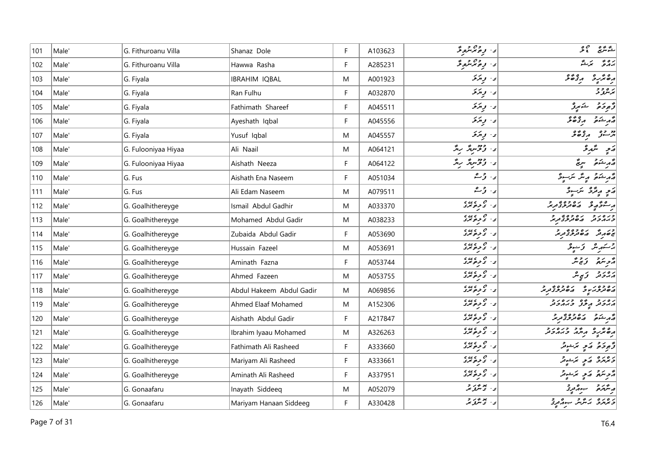| 101 | Male' | G. Fithuroanu Villa | Shanaz Dole              | F | A103623 | ، رەۋىرىتر <sub>ىم</sub> ۇ                                                                                                                      | م و<br>اشەمتى                                                                                                                                                                                                                          |
|-----|-------|---------------------|--------------------------|---|---------|-------------------------------------------------------------------------------------------------------------------------------------------------|----------------------------------------------------------------------------------------------------------------------------------------------------------------------------------------------------------------------------------------|
| 102 | Male' | G. Fithuroanu Villa | Hawwa Rasha              | F | A285231 | ن وه پر شموځه                                                                                                                                   | برە ئ<br>ىرىشە                                                                                                                                                                                                                         |
| 103 | Male' | G. Fiyala           | <b>IBRAHIM IQBAL</b>     | M | A001923 | ای ویژنځه<br>__                                                                                                                                 | ەر ئەھمى<br>ە ھېڭرىر <sup>ە</sup>                                                                                                                                                                                                      |
| 104 | Male' | G. Fiyala           | Ran Fulhu                | F | A032870 | ى ويرى                                                                                                                                          | ر ه د د<br>برس د                                                                                                                                                                                                                       |
| 105 | Male' | G. Fiyala           | Fathimath Shareef        | F | A045511 | ای- ویژنځه<br>__                                                                                                                                | و څو څه د<br>شەمرىژ                                                                                                                                                                                                                    |
| 106 | Male' | G. Fiyala           | Ayeshath Iqbal           | F | A045556 | ای- ویژنځ                                                                                                                                       | پ <sup>ر</sup> مرشومی<br>مرم<br>ەر ئەھ                                                                                                                                                                                                 |
| 107 | Male' | G. Fiyala           | Yusuf Iqbal              | M | A045557 | ى الموادى                                                                                                                                       | در حره<br>د ځ څ و                                                                                                                                                                                                                      |
| 108 | Male' | G. Fulooniyaa Hiyaa | Ali Naail                | M | A064121 | ، ئۇتۇس ئەر                                                                                                                                     | ړې شمړی                                                                                                                                                                                                                                |
| 109 | Male' | G. Fulooniyaa Hiyaa | Aishath Neeza            | F | A064122 | ى تۇقتىرىدىگە بەرگە                                                                                                                             | پ <sup>و</sup> مرشومو<br>مرم<br>سرچٌ                                                                                                                                                                                                   |
| 110 | Male' | G. Fus              | Aishath Ena Naseem       | F | A051034 | ی۰ قرمشه                                                                                                                                        | ۇرىشكى بېش سەسرە                                                                                                                                                                                                                       |
| 111 | Male' | G. Fus              | Ali Edam Naseem          | M | A079511 | ى زىر ئە                                                                                                                                        | ړې ږېژو برَب                                                                                                                                                                                                                           |
| 112 | Male' | G. Goalhithereyge   | Ismail Abdul Gadhir      | M | A033370 | م<br>د کومونوری<br>ر                                                                                                                            | ر موځ ده ده ده ورونو در                                                                                                                                                                                                                |
| 113 | Male' | G. Goalhithereyge   | Mohamed Abdul Gadir      | M | A038233 | $rac{c}{s}$                                                                                                                                     | وره ر و ده وه په د<br><i>وبرو دو م</i> ه ترموتی ترمر                                                                                                                                                                                   |
| 114 | Male' | G. Goalhithereyge   | Zubaida Abdul Gadir      | F | A053690 | م و د د د د د<br>د ۱۰ کاملومونوری                                                                                                               | ج <i>کو</i> رنگر در مرد و محمد بر در محمد بر در محمد بر در محمد بر در محمد استفاده برای کوچک بر محمد برای کوچک بر مح<br>محمد استفاده برای محمد برای محمد برای محمد برای محمد برای محمد برای محمد برای محمد برای محمد برای محمد برای مح |
| 115 | Male' | G. Goalhithereyge   | Hussain Fazeel           | M | A053691 | $rac{c}{s}$                                                                                                                                     | يزختهرش تخاشيوها                                                                                                                                                                                                                       |
| 116 | Male' | G. Goalhithereyge   | Aminath Fazna            | F | A053744 | $rac{c}{s}$                                                                                                                                     | أأروسكم وكالمجاشر                                                                                                                                                                                                                      |
| 117 | Male' | G. Goalhithereyge   | Ahmed Fazeen             | M | A053755 | ر جمع عدد عدد عدد المليوم.<br>محمد المليوم عليه عدد المليوم.<br>محمد المليوم المليوم المليوم المليوم المليوم المليوم المليوم المليوم المليوم ال | ړه پروتر نومړينه                                                                                                                                                                                                                       |
| 118 | Male' | G. Goalhithereyge   | Abdul Hakeem Abdul Gadir | M | A069856 | ر جمع عدد عدد عدد المحمد السياسي.<br>  تحرير المحمد عدد المحمد العدد المحمد السياسي.                                                            | ره وه رر و مره وه در و د<br>مان مرکز در مان مرکز توریز                                                                                                                                                                                 |
| 119 | Male' | G. Goalhithereyge   | Ahmed Elaaf Mohamed      | M | A152306 | $rac{c}{s}$                                                                                                                                     | גם גב תוכני כגם גב<br>גגבת תוכני כגבים                                                                                                                                                                                                 |
| 120 | Male' | G. Goalhithereyge   | Aishath Abdul Gadir      | F | A217847 | م د ده د ده.<br>د ۲ کومونور                                                                                                                     | د .<br>په د شوې د په مرمونو مرمر                                                                                                                                                                                                       |
| 121 | Male' | G. Goalhithereyge   | Ibrahim Iyaau Mohamed    | M | A326263 | $rac{c}{s}$                                                                                                                                     | ת מיני בי החד בגביבה                                                                                                                                                                                                                   |
| 122 | Male' | G. Goalhithereyge   | Fathimath Ali Rasheed    | F | A333660 | $rac{c}{s}$                                                                                                                                     | ڙوڌو ڏي ترجيڙ                                                                                                                                                                                                                          |
| 123 | Male' | G. Goalhithereyge   | Mariyam Ali Rasheed      | F | A333661 | ر جي دي.<br>د کومونور                                                                                                                           | ويمركز كالمج المرشوقر                                                                                                                                                                                                                  |
| 124 | Male' | G. Goalhithereyge   | Aminath Ali Rasheed      | F | A337951 | م د ده د د د د د<br>د ۲ د لومونورو                                                                                                              | أأدمتم أرائح المتوافر                                                                                                                                                                                                                  |
| 125 | Male' | G. Gonaafaru        | Inayath Siddeeq          | M | A052079 | ى سىمىمىمى بىر                                                                                                                                  | ە ئىرىز ئىسرە بىر                                                                                                                                                                                                                      |
| 126 | Male' | G. Gonaafaru        | Mariyam Hanaan Siddeeg   | F | A330428 | ى سىمىمىتى ئىر                                                                                                                                  | رەرە بەشرىر سەھىرىي                                                                                                                                                                                                                    |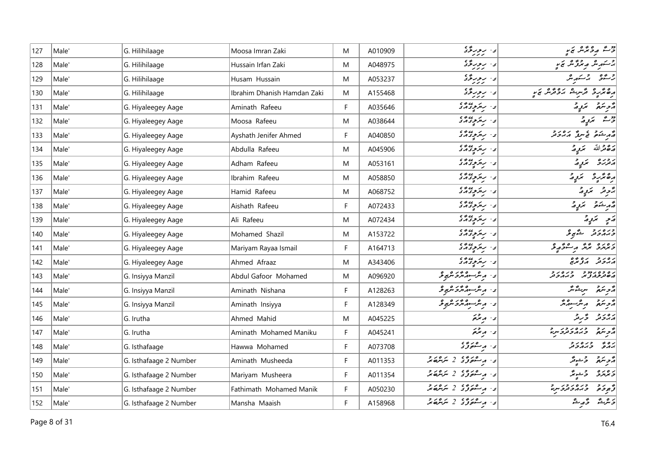| 127 | Male' | G. Hilihilaage         | Moosa Imran Zaki            | M           | A010909 |                                                         | دحمشه و پژهر نم                                      |
|-----|-------|------------------------|-----------------------------|-------------|---------|---------------------------------------------------------|------------------------------------------------------|
| 128 | Male' | G. Hilihilaage         | Hussain Irfan Zaki          | M           | A048975 | ء ·   روروٌء<br>シンジ                                     | ر مسر شهر در بروژنگر نماید<br>مسلم مسلم              |
| 129 | Male' | G. Hilihilaage         | Husam Hussain               | M           | A053237 | ، رورۇ،                                                 | د ده د کرده<br>را د د کرده                           |
| 130 | Male' | G. Hilihilaage         | Ibrahim Dhanish Hamdan Zaki | M           | A155468 | ى - رورۇئى<br>シンジ                                       | مەھكرىدە ترسرىغا بروترىش ترىر                        |
| 131 | Male' | G. Hiyaleegey Aage     | Aminath Rafeeu              | $\mathsf F$ | A035646 | ، رگروی وی<br>د رگروی                                   | مٌ وِ سَيَمٌ مَن مِ                                  |
| 132 | Male' | G. Hiyaleegey Aage     | Moosa Rafeeu                | M           | A038644 | ی ریگر می بی می<br>د ریگر می بی بی                      | ورځ بروړ                                             |
| 133 | Male' | G. Hiyaleegey Aage     | Ayshath Jenifer Ahmed       | F           | A040850 | ی ریگر می دی<br>د ریگر دیگر                             | وكرمشو وعسر وكالمروفر                                |
| 134 | Male' | G. Hiyaleegey Aage     | Abdulla Rafeeu              | M           | A045906 | ی ریگر می بره<br>د ریگر پروژه                           | أرە دالله تروپه                                      |
| 135 | Male' | G. Hiyaleegey Aage     | Adham Rafeeu                | M           | A053161 | ی ریگر می بره<br>د ریگر پروژه                           | پروژو   ټرړ پر                                       |
| 136 | Male' | G. Hiyaleegey Aage     | Ibrahim Rafeeu              | M           | A058850 | ی ریگر می بی و<br>د ریگر پی                             | ە ھېڭرىر<br>س<br>بمروره                              |
| 137 | Male' | G. Hiyaleegey Aage     | Hamid Rafeeu                | M           | A068752 | ی رمز دی.<br>د رمز دی.                                  | ر د تروړ                                             |
| 138 | Male' | G. Hiyaleegey Aage     | Aishath Rafeeu              | F           | A072433 | $\frac{1}{5}$                                           | مەر شىم كىرىم                                        |
| 139 | Male' | G. Hiyaleegey Aage     | Ali Rafeeu                  | M           | A072434 | ی ریگر می بره<br>د ریگر پروژه                           | أوسم التمرير وأرا                                    |
| 140 | Male' | G. Hiyaleegey Aage     | Mohamed Shazil              | M           | A153722 | ی ریگر منعمدی<br>د ریگر دیگر                            | و ره ر و<br><i>و ټ</i> رو تر<br>ىش <sup>ى</sup> م ئو |
| 141 | Male' | G. Hiyaleegey Aage     | Mariyam Rayaa Ismail        | F           | A164713 | $\frac{cscason}{s}$                                     | גם גם גיב תשכתב                                      |
| 142 | Male' | G. Hiyaleegey Aage     | Ahmed Afraaz                | M           | A343406 | ی ریگر می بره<br>د ریگر پروژه                           | גם גם גם גם<br>הגבע הציבה                            |
| 143 | Male' | G. Insiyya Manzil      | Abdul Gafoor Mohamed        | ${\sf M}$   | A096920 | ى بەر مەسىرە ئەرگە ئىرىدى.<br>مەسىر ئىسىر ئىرگىزىنى ئىر | נספסנמפ בנסנב<br>הסנקלת במהכנק                       |
| 144 | Male' | G. Insiyya Manzil      | Aminath Nishana             | F           | A128263 | ى مەھرىسى <i>مەمگەنگىنى</i> ئ                           | أوالمحر ستراكض سريشتر                                |
| 145 | Male' | G. Insiyya Manzil      | Aminath Insiyya             | F           | A128349 | ى مەھرىسىز <i>ە ئەڭ ھې</i> مو                           | ەر سرىسەدە ئىر<br>ړځ پره                             |
| 146 | Male' | G. Irutha              | Ahmed Mahid                 | M           | A045225 | ی که موجو                                               | ۇرىر<br>ر ە ر د<br>م.رى                              |
| 147 | Male' | G. Irutha              | Aminath Mohamed Maniku      | $\mathsf F$ | A045241 | ی که مرکز                                               | כנים ניכן יינול<br>הממיד בתוכ יינול<br>ړګر سرچ       |
| 148 | Male' | G. Isthafaage          | Hawwa Mohamed               | F           | A073708 | و ۱ هر وره<br>د ۱ هر سوهونو د                           | رە بە<br>برادى<br>و ره ر د<br><i>د ب</i> رگرفر       |
| 149 | Male' | G. Isthafaage 2 Number | Aminath Musheeda            | F           | A011353 | ی بر حوزی 2 شرحه د                                      | ړ د سرچ<br>ر حم محر                                  |
| 150 | Male' | G. Isthafaage 2 Number | Mariyam Musheera            | $\mathsf F$ | A011354 | ی پر شودی 2 شرحه د                                      | ر ه ر ه<br><del>ر</del> بربرگ<br>تر شو پژ<br>پ       |
| 151 | Male' | G. Isthafaage 2 Number | Fathimath Mohamed Manik     | $\mathsf F$ | A050230 | د . م سعود د 2 شر شهده م                                | ومجدد ورود وديرة                                     |
| 152 | Male' | G. Isthafaage 2 Number | Mansha Maaish               | F.          | A158968 | ی ارسوی 2 شرحه د                                        | كالمراسية المتحارسة                                  |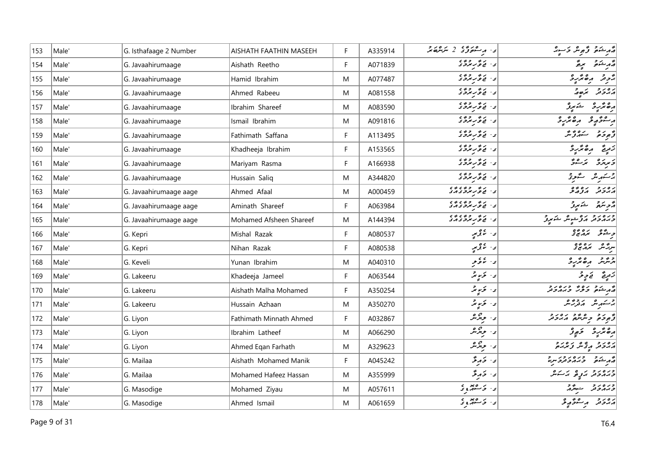| 153 | Male' | G. Isthafaage 2 Number | AISHATH FAATHIN MASEEH  | F  | A335914 | ی منصوفی 2 شهره د                                                                          | مەم شەق ۋە بىر دىس                   |
|-----|-------|------------------------|-------------------------|----|---------|--------------------------------------------------------------------------------------------|--------------------------------------|
| 154 | Male' | G. Javaahirumaage      | Aishath Reetho          | F  | A071839 | ، ئەۋرىر <i>ە</i> ئ                                                                        | و مرکز در<br>مرکز مشور               |
| 155 | Male' | G. Javaahirumaage      | Hamid Ibrahim           | M  | A077487 | ، ئەۋرىردى<br>، ئ <i>ەۋرىردى</i>                                                           | ە ھەترىرى<br>لجحر فر                 |
| 156 | Male' | G. Javaahirumaage      | Ahmed Rabeeu            | M  | A081558 |                                                                                            | پروژو<br>برُه ژ                      |
| 157 | Male' | G. Javaahirumaage      | Ibrahim Shareef         | M  | A083590 | ر په روپرو<br>د کاظی مرحرد                                                                 | ە ھەترىر <sup>ە</sup>                |
| 158 | Male' | G. Javaahirumaage      | Ismail Ibrahim          | M  | A091816 | ر په دره ده د<br>د ۱۰ قانو ترونو                                                           | بر شۇ ئەيۋ<br>دە تۈرۈ                |
| 159 | Male' | G. Javaahirumaage      | Fathimath Saffana       | F  | A113495 | ى سىم ئەسرىرى ئى<br>ئ                                                                      | و محمد حرم<br>اقرام حرم<br>سەدە ئەشر |
| 160 | Male' | G. Javaahirumaage      | Khadheeja Ibrahim       | F  | A153565 | ى بى ئۇر برىرى                                                                             | كتريع وكالمربو                       |
| 161 | Male' | G. Javaahirumaage      | Mariyam Rasma           | F  | A166938 | ، ئەقرىرى»                                                                                 | ئەبىر بىر 2<br>ىر ئەبى               |
| 162 | Male' | G. Javaahirumaage      | Hussain Saliq           | M  | A344820 | ى سىمى ئەمەدى<br>ئ                                                                         | برسكهر شريح ويحرج                    |
| 163 | Male' | G. Javaahirumaage aage | Ahmed Afaal             | M  | A000459 | $\begin{array}{cc} c \neq c \neq 2 & \neq & c \\ s \neq 3 & s \neq s \neq 0 \end{array} .$ | גם גם גם 20<br>הגבה הצהב             |
| 164 | Male' | G. Javaahirumaage aage | Aminath Shareef         | F  | A063984 | ر د د د ده د د د<br>د ۲ فور پرو د د د                                                      | أأترجع المستورقر                     |
| 165 | Male' | G. Javaahirumaage aage | Mohamed Afsheen Shareef | M  | A144394 | ى سىم ئىر ئەم ئەم ئە<br>ئ                                                                  | ورورو روحيه خبرو                     |
| 166 | Male' | G. Kepri               | Mishal Razak            | F  | A080537 | ى ، ئۇچمىيە                                                                                | ويشو برە بور                         |
| 167 | Male' | G. Kepri               | Nihan Razak             | F  | A080538 | ای عوی                                                                                     | سرشش محمد مع                         |
| 168 | Male' | G. Keveli              | Yunan Ibrahim           | M  | A040310 | ء عمقبر                                                                                    | أدشرس مصريره                         |
| 169 | Male' | G. Lakeeru             | Khadeeja Jameel         | F. | A063544 | ى كەنبەتتى                                                                                 | زَمِرِةً نَحْ وِ وُ                  |
| 170 | Male' | G. Lakeeru             | Aishath Malha Mohamed   | F. | A350254 | ى كەنبەتتى                                                                                 | ه دشته و دره دره در و                |
| 171 | Male' | G. Lakeeru             | Hussain Azhaan          | M  | A350270 | ى ئەتمەتتى                                                                                 | برستىرىكى ئەفرىشى                    |
| 172 | Male' | G. Liyon               | Fathimath Minnath Ahmed | F  | A032867 | ی ۔ موہر شر                                                                                | ومجمع ومرموم مدوم                    |
| 173 | Male' | G. Liyon               | Ibrahim Latheef         | M  | A066290 | ای وجه پیش<br>نسب                                                                          | رەنزىر ئەبۇ                          |
| 174 | Male' | G. Liyon               | Ahmed Eqan Farhath      | M  | A329623 | ی بروگر                                                                                    | رور د پژیر زمرد.                     |
| 175 | Male' | G. Mailaa              | Aishath Mohamed Manik   | F  | A045242 | اء کارگ                                                                                    | הת לים במתכנבת                       |
| 176 | Male' | G. Mailaa              | Mohamed Hafeez Hassan   | M  | A355999 | ى ئەرگە                                                                                    | ورەرو رۇپ رىك                        |
| 177 | Male' | G. Masodige            | Mohamed Ziyau           | M  | A057611 | ی کر میں م                                                                                 | כנסני הייתר<br><i>בג</i> ובני הייתר  |
| 178 | Male' | G. Masodige            | Ahmed Ismail            | M  | A061659 | ی کر صد ہ                                                                                  | גפניק גיילקיל                        |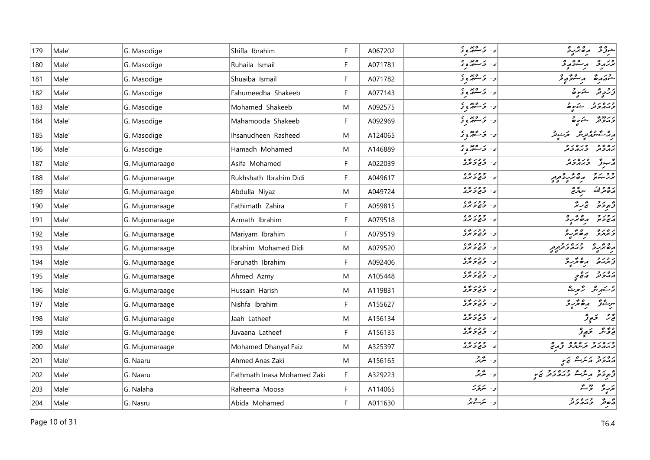| 179 | Male' | G. Masodige    | Shifla Ibrahim              | F  | A067202 | ی کر صبحہ ی                             | ەھ ترىرى<br>خوتر گر                                                                                                                                                                                                              |
|-----|-------|----------------|-----------------------------|----|---------|-----------------------------------------|----------------------------------------------------------------------------------------------------------------------------------------------------------------------------------------------------------------------------------|
| 180 | Male' | G. Masodige    | Ruhaila Ismail              | F  | A071781 | ى ئەھەدى                                | ەرسىۋەيۋ<br>برژمەتخە                                                                                                                                                                                                             |
| 181 | Male' | G. Masodige    | Shuaiba Ismail              | F  | A071782 | ر د هغه ولا<br>د افرانسه د د            | ەرسىۋەپەي<br>شەھەرە                                                                                                                                                                                                              |
| 182 | Male' | G. Masodige    | Fahumeedha Shakeeb          | F. | A077143 | ی کر صد ہی                              | تر <sup>ح</sup> چ مگر<br>0.44                                                                                                                                                                                                    |
| 183 | Male' | G. Masodige    | Mohamed Shakeeb             | M  | A092575 | ى ئەسىم ئ                               | و ر ه ر د<br>و پر پر تر تر<br>شەرە                                                                                                                                                                                               |
| 184 | Male' | G. Masodige    | Mahamooda Shakeeb           | F  | A092969 | ی کره پورې<br>ي                         | $5 - 1$<br>ر ر دو بر<br>تر بر و تر                                                                                                                                                                                               |
| 185 | Male' | G. Masodige    | Ihsanudheen Rasheed         | M  | A124065 | ر کرے ہے<br>د کرے گھری                  | ىر ئەستىر ئىرىدى ئىشلىقى ئىشلار ئىشلار ئىستىر ئىستىر ئىستىر ئىستىر ئىستىر ئىستىر ئىستىر ئىستىر ئىستىر ئىستىر ئ<br>ئىستىر ئىستىر ئىستىر ئىستىر ئىستىر ئىستىر ئىستىر ئىستىر ئىستىر ئىستىر ئىستىر ئىستىر ئىستىر ئىستىر ئىستىر ئىستى |
| 186 | Male' | G. Masodige    | Hamadh Mohamed              | M  | A146889 | ی کر صحی ی                              | ره دو دره دو<br>برمرونر وبرمرونر                                                                                                                                                                                                 |
| 187 | Male' | G. Mujumaraage | Asifa Mohamed               | F  | A022039 | و و دره د و.<br>د ۱ ارق و برد           | و رە ر د<br>تر پروتر<br>ۇ سىز                                                                                                                                                                                                    |
| 188 | Male' | G. Mujumaraage | Rukhshath Ibrahim Didi      | F  | A049617 | و و دره د و.<br>د ۱ ارق و برد           | د د بر د<br>ە ھەترىر ۋىرىر<br>رەھ ترىر ۋىرىر                                                                                                                                                                                     |
| 189 | Male' | G. Mujumaraage | Abdulla Niyaz               | M  | A049724 | و و دره و و<br>د ۰ گرافتونو کرد         | برە تراللە<br>سرگرمج                                                                                                                                                                                                             |
| 190 | Male' | G. Mujumaraage | Fathimath Zahira            | F. | A059815 | و و دره د و.<br>د ۱ ارق و برد           | وٌموِ رَم<br>پر<br>پنج ريخه                                                                                                                                                                                                      |
| 191 | Male' | G. Mujumaraage | Azmath Ibrahim              | F  | A079518 | و و در پر د<br>د ۱ گرافتانو مگری        | پر و بر و<br>پر بح تر پی                                                                                                                                                                                                         |
| 192 | Male' | G. Mujumaraage | Mariyam Ibrahim             | F  | A079519 | و و ر په و<br>و ۰ گرونو کرد             | ە ھەترىر <sup>ە</sup><br>ر ه ر ه<br><del>د</del> بربرگ                                                                                                                                                                           |
| 193 | Male' | G. Mujumaraage | Ibrahim Mohamed Didi        | M  | A079520 | و و دره د و<br>د ۱ گرافو مرد            | و ر ه ر و<br>تر پر تر تر تر تر<br>س<br>ە ھەتمەر 2<br>س                                                                                                                                                                           |
| 194 | Male' | G. Mujumaraage | Faruhath Ibrahim            | F  | A092406 | و و دره د و.<br>د ۱ ارق و برد           | ر ور د<br>نو برنده<br>ەھ ترىرى                                                                                                                                                                                                   |
| 195 | Male' | G. Mujumaraage | Ahmed Azmy                  | M  | A105448 | و و دره د و.<br>د ۱ ارق و برد           | د ۱۵ د سی د ح                                                                                                                                                                                                                    |
| 196 | Male' | G. Mujumaraage | Hussain Harish              | M  | A119831 | و و دره و و<br>د ۰ گرافتونو کرد         | برسكريش الرهبط                                                                                                                                                                                                                   |
| 197 | Male' | G. Mujumaraage | Nishfa Ibrahim              | F. | A155627 | و و دره د و.<br>د ۱ ارق و برد           | ەھ تررۈ<br> سريشوگر<br> -                                                                                                                                                                                                        |
| 198 | Male' | G. Mujumaraage | Jaah Latheef                | M  | A156134 | و و دره د و.<br>د ۱ ارمن و برد          | ة ترجمية من المجموز بين المجموز بين المجال المجال المجموعية بين المجموعية المجموعية المجموعية المجمو<br>المجموعية                                                                                                                |
| 199 | Male' | G. Mujumaraage | Juvaana Latheef             | F  | A156135 | و و ر پر د<br>د ۰ و بح <del>و</del> بود |                                                                                                                                                                                                                                  |
| 200 | Male' | G. Mujumaraage | Mohamed Dhanyal Faiz        | M  | A325397 | ه د ور ور<br>د ۰ و تع <del>و</del> بور  | ورەر دېرە دەپە ئەر                                                                                                                                                                                                               |
| 201 | Male' | G. Naaru       | Ahmed Anas Zaki             | M  | A156165 | ى ، سرگىر                               | גפינק געל אי                                                                                                                                                                                                                     |
| 202 | Male' | G. Naaru       | Fathmath Inasa Mohamed Zaki | F  | A329223 | ى ، سرچر                                |                                                                                                                                                                                                                                  |
| 203 | Male' | G. Nalaha      | Raheema Moosa               | F. | A114065 | ى - ئىرىچەتر                            | ىر ئەڭ ئەسىگە                                                                                                                                                                                                                    |
| 204 | Male' | G. Nasru       | Abida Mohamed               | F  | A011630 | ى - ئىترىيەتر                           | ه وره رو<br>مگاهگر از جمله ج                                                                                                                                                                                                     |
|     |       |                |                             |    |         |                                         |                                                                                                                                                                                                                                  |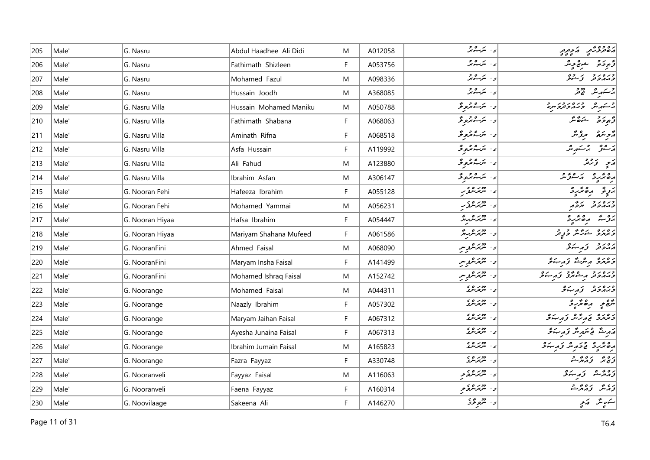| 205 | Male' | G. Nasru        | Abdul Haadhee Ali Didi | M | A012058 | ى سىرسىمى                              | ره وه بحر مکونرنر<br>مصر در مکونرن |
|-----|-------|-----------------|------------------------|---|---------|----------------------------------------|------------------------------------|
| 206 | Male' | G. Nasru        | Fathimath Shizleen     | E | A053756 | ى - ئىزىيەتتىر                         | وحدة المستوجا ويتكر                |
| 207 | Male' | G. Nasru        | Mohamed Fazul          | M | A098336 | ى سىرسىمى                              | ورەر و دوۋ                         |
| 208 | Male' | G. Nasru        | Hussain Joodh          | M | A368085 | ى - ئىترىپىچى                          | جر شهر سر دو د                     |
| 209 | Male' | G. Nasru Villa  | Hussain Mohamed Maniku | M | A050788 | ، ئىر شەمگە ئەتىرى ئە                  | ג' האקייר במחכתביתי                |
| 210 | Male' | G. Nasru Villa  | Fathimath Shabana      | F | A068063 | ى سىر بىر ئىر ئىرى ئى                  | توجوخوا الشقائر                    |
| 211 | Male' | G. Nasru Villa  | Aminath Rifna          | F | A068518 | ى سىر بىر ئىرو ئۇ                      | أأرجا المتحر المروثار              |
| 212 | Male' | G. Nasru Villa  | Asfa Hussain           | F | A119992 | ى سەسەمگەمۇ                            | ىر ھۇسىم ئەسىمبىر                  |
| 213 | Male' | G. Nasru Villa  | Ali Fahud              | M | A123880 | ى سەسەمگەرىگە                          | أة يو توريخ                        |
| 214 | Male' | G. Nasru Villa  | Ibrahim Asfan          | M | A306147 | ى سىر ئەچمىرىگە                        | مەھترىرى كەسترىتر                  |
| 215 | Male' | G. Nooran Fehi  | Hafeeza Ibrahim        | F | A055128 | ى ئەشرىكتى بە                          | برَرٍ فَرَ رَه مُرْرِد             |
| 216 | Male' | G. Nooran Fehi  | Mohamed Yammai         | M | A056231 | ى سىر ئىر ھۇپ                          | כנסנכ נדי<br>כג'וכנג ולכן          |
| 217 | Male' | G. Nooran Hiyaa | Hafsa Ibrahim          | F | A054447 | ى سىرتىر سىر بىر                       | بروية مصريرة                       |
| 218 | Male' | G. Nooran Hiyaa | Mariyam Shahana Mufeed | F | A061586 | ى سىر بىر سىر بىر<br>سىر بىر بىر بىر   | رەرە شەھەر دېر                     |
| 219 | Male' | G. NooranFini   | Ahmed Faisal           | M | A068090 | ى بىر قرىر مىزىيە<br>مەسىر ئىرلىرىش    | أرەر دەسكى                         |
| 220 | Male' | G. NooranFini   | Maryam Insha Faisal    | F | A141499 | ، مشرش معر مبر<br>مستر مشروع           | ويرمرو أرشيق وأرجنو                |
| 221 | Male' | G. NooranFini   | Mohamed Ishraq Faisal  | M | A152742 | <sub>ئ</sub> . ئىز <i>ئىر تىرى بىر</i> | ورەرو رىشمۇق ۋەسكى                 |
| 222 | Male' | G. Noorange     | Mohamed Faisal         | M | A044311 |                                        | כנסגב בתהבצ                        |
| 223 | Male' | G. Noorange     | Naazly Ibrahim         | F | A057302 | و د ده ده و                            | شمع مقترح                          |
| 224 | Male' | G. Noorange     | Maryam Jaihan Faisal   | F | A067312 | د . هم ده ده<br>د . سرچرسری            | כמוקם גם המי צוק היב               |
| 225 | Male' | G. Noorange     | Ayesha Junaina Faisal  | F | A067313 | د . هر ده د                            | مكر منتظم تحسير متكر وكالمستكل     |
| 226 | Male' | G. Noorange     | Ibrahim Jumain Faisal  | M | A165823 | ی میں مرکز دی                          | رە ئەر ئەندىر ئەر ئىگە             |
| 227 | Male' | G. Noorange     | Fazra Fayyaz           | F | A330748 | ی میں مرکز کر                          | ترەپ تەرەپتى                       |
| 228 | Male' | G. Nooranveli   | Fayyaz Faisal          | M | A116063 | - موره ده د<br>د اسرپرسرو پو           | وەر ئەسىسى ئەرب                    |
| 229 | Male' | G. Nooranveli   | Faena Fayyaz           | F | A160314 |                                        | زەش زەمۇر                          |
| 230 | Male' | G. Noovilaage   | Sakeena Ali            | F | A146270 | ى شموڭرى                               | سكيانتش الأمج                      |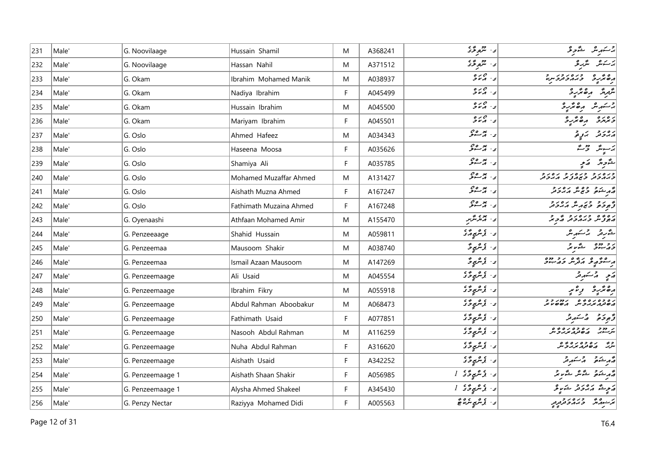| 231 | Male' | G. Noovilaage    | Hussain Shamil          | M         | A368241 | ى سىمبۇ ئۇ                          | ر <i>جستهر بنگ</i> ور میگردید.<br>منابع میگردید                  |
|-----|-------|------------------|-------------------------|-----------|---------|-------------------------------------|------------------------------------------------------------------|
| 232 | Male' | G. Noovilaage    | Hassan Nahil            | M         | A371512 | ى شىم ئۇي                           | ير سند عمد و                                                     |
| 233 | Male' | G. Okam          | Ibrahim Mohamed Manik   | M         | A038937 | 31.3.5                              | כ מ מ מ כ מ יישור<br>פ מ ח פ נקב יישו<br>  رە ئ <sup>ۆ</sup> ر ۋ |
| 234 | Male' | G. Okam          | Nadiya Ibrahim          | F         | A045499 | ى بەر ئە                            | تربرة رەترىر                                                     |
| 235 | Male' | G. Okam          | Hussain Ibrahim         | M         | A045500 | ى بەرە چ                            | بر سکر سره بره مرکز د                                            |
| 236 | Male' | G. Okam          | Mariyam Ibrahim         | F         | A045501 | ى بەر ئە                            | ە ھەترىرى<br>برھ ترىرى<br>ر ه ر ه<br>تر <del>ب</del> ر بر        |
| 237 | Male' | G. Oslo          | Ahmed Hafeez            | ${\sf M}$ | A034343 | ى بىر ھېچە                          | دەر د برېږ                                                       |
| 238 | Male' | G. Oslo          | Haseena Moosa           | F         | A035626 | ى ئېر ھېچ                           | پرسپ تر میں ح                                                    |
| 239 | Male' | G. Oslo          | Shamiya Ali             | F         | A035785 | ى ئېزىقجە                           | شَرْدِ مَرْ                                                      |
| 240 | Male' | G. Oslo          | Mohamed Muzaffar Ahmed  | M         | A131427 | ى ئېر ھېچ                           | כנסנכ כנסנכ נסנכ<br>קממכת כ <u>א</u> מצי <i>נ ממכ</i> ת          |
| 241 | Male' | G. Oslo          | Aishath Muzna Ahmed     | F         | A167247 | ى ئېر مەمۇ                          | و دیکھ دی شر ده د د<br>وگړ شکو د پی کربرو تر                     |
| 242 | Male' | G. Oslo          | Fathimath Muzaina Ahmed | F         | A167248 | ى ئېر مەمۇ                          | و و د د ديم په د ورد                                             |
| 243 | Male' | G. Oyenaashi     | Athfaan Mohamed Amir    | M         | A155470 | ى بىر بىر مىتزىيە                   |                                                                  |
| 244 | Male' | G. Penzeeaage    | Shahid Hussain          | ${\sf M}$ | A059811 | ى ئۇشىچەدى                          | شەرىر برگىدىد                                                    |
| 245 | Male' | G. Penzeemaa     | Mausoom Shakir          | ${\sf M}$ | A038740 | <sub>ى:</sub> بۇش <sub>چ</sub> ۇ    | رو دوه شگر د                                                     |
| 246 | Male' | G. Penzeemaa     | Ismail Azaan Mausoom    | ${\sf M}$ | A147269 | <sub>ى</sub> . بۇش <sub>ك</sub> ېۇ  | د مشرقه د به ده در دره دره<br>د مشرقه قرار د به مشرق             |
| 247 | Male' | G. Penzeemaage   | Ali Usaid               | M         | A045554 | ، ئۇش <sub>ىي چ</sub> ە             | أەنى ەسىئەرىتى                                                   |
| 248 | Male' | G. Penzeemaage   | Ibrahim Fikry           | M         | A055918 | ، ئۇش <sub>ىپ</sub> وگ <sub>ۇ</sub> | مرە ئۆر ئەربىر                                                   |
| 249 | Male' | G. Penzeemaage   | Abdul Rahman Aboobakur  | M         | A068473 | ى ئۇشىچ ۋى                          |                                                                  |
| 250 | Male' | G. Penzeemaage   | Fathimath Usaid         | F         | A077851 | ى ئۇشپۈتەك                          | أوجوحه ومسكوفر                                                   |
| 251 | Male' | G. Penzeemaage   | Nasooh Abdul Rahman     | M         | A116259 | ، ئۇش <sub>ىپ</sub> وگە             | ק מכן קספסקסים<br>תניינג הסטנה <i>הגב</i> ית                     |
| 252 | Male' | G. Penzeemaage   | Nuha Abdul Rahman       | F         | A316620 | ، ئۇش <sub>ىم</sub> ۇ ئ             | وه ده ده ده ده و<br>سربر مان موماند برگ                          |
| 253 | Male' | G. Penzeemaage   | Aishath Usaid           | F         | A342252 | <sub>ى:</sub> گۆشمېچ <sup>ى</sup> ك | ۇرمىنو مەسىر                                                     |
| 254 | Male' | G. Penzeemaage 1 | Aishath Shaan Shakir    | F         | A056985 | $1$ ، بۇ شمېرۇ ئى $\mid$            | ر<br>ر <sub>گ</sub> ر شور شگر شگر بر                             |
| 255 | Male' | G. Penzeemaage 1 | Alysha Ahmed Shakeel    | F         | A345430 | $1$ ، بۇ شېچ دى $ $                 | ړې ده ده ده کړې                                                  |
| 256 | Male' | G. Penzy Nectar  | Raziyya Mohamed Didi    | F         | A005563 | ، ئۇنى <i>گې ئىرىق</i> ق            |                                                                  |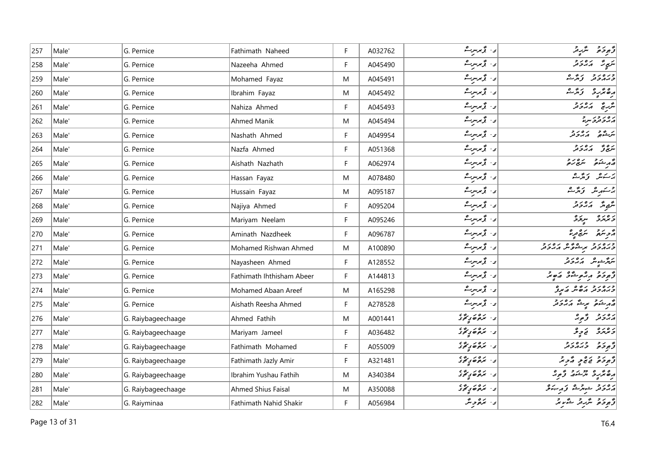| 257 | Male' | G. Pernice         | Fathimath Naheed          | F  | A032762 | ء گەرسرىشە                                                                                                                                                                                                                                                                                                                         | قَ وَجَعَةٍ مُحْرَبِةٍ                             |
|-----|-------|--------------------|---------------------------|----|---------|------------------------------------------------------------------------------------------------------------------------------------------------------------------------------------------------------------------------------------------------------------------------------------------------------------------------------------|----------------------------------------------------|
| 258 | Male' | G. Pernice         | Nazeeha Ahmed             | F. | A045490 | <sub>ی</sub> . بوٌمه میریند                                                                                                                                                                                                                                                                                                        | يرىم ئەرەر ئەر                                     |
| 259 | Male' | G. Pernice         | Mohamed Fayaz             | M  | A045491 | ئ جو محمد سرم مصر<br> -                                                                                                                                                                                                                                                                                                            | ورەرو روم                                          |
| 260 | Male' | G. Pernice         | Ibrahim Fayaz             | M  | A045492 | د · گرمرسر م                                                                                                                                                                                                                                                                                                                       | رەپزىر زېژىنە                                      |
| 261 | Male' | G. Pernice         | Nahiza Ahmed              | F  | A045493 | ء : قرمرسرے                                                                                                                                                                                                                                                                                                                        | ترریخ پره رو                                       |
| 262 | Male' | G. Pernice         | <b>Ahmed Manik</b>        | M  | A045494 | <sub>ى</sub> . بۇ يرىبرىشە                                                                                                                                                                                                                                                                                                         | ر ۲۰ <i>۰۰ ور</i><br>مربر <del>د</del> تر در ر     |
| 263 | Male' | G. Pernice         | Nashath Ahmed             | F  | A049954 | ى : ئۇيرىبرىشە                                                                                                                                                                                                                                                                                                                     | سَرْڪُمُ درورو                                     |
| 264 | Male' | G. Pernice         | Nazfa Ahmed               | F  | A051368 | ء : بُرْ مَرْ سِرِ مُشْهِ                                                                                                                                                                                                                                                                                                          | شرە ئەسمىدە ئەر                                    |
| 265 | Male' | G. Pernice         | Aishath Nazhath           | F  | A062974 | ء : بُرْ مَرْ سِرِ مُ                                                                                                                                                                                                                                                                                                              | پر 2 پر 13<br>سرچ سرچ<br>ەگەر شەھ                  |
| 266 | Male' | G. Pernice         | Hassan Fayaz              | M  | A078480 | [ <sub>ى:</sub> بۇ يرىبرىشە                                                                                                                                                                                                                                                                                                        | برسەش ئەبۇرشە                                      |
| 267 | Male' | G. Pernice         | Hussain Fayaz             | M  | A095187 | د · گرسرسه                                                                                                                                                                                                                                                                                                                         | برسكهر ترتره                                       |
| 268 | Male' | G. Pernice         | Najiya Ahmed              | F  | A095204 | <sub>ی</sub> . بو <sub>سم</sub> رسه                                                                                                                                                                                                                                                                                                | أنتزيج ترود ورقر                                   |
| 269 | Male' | G. Pernice         | Mariyam Neelam            | F  | A095246 | ى گەرسرىس                                                                                                                                                                                                                                                                                                                          | رەرە سرىكى                                         |
| 270 | Male' | G. Pernice         | Aminath Nazdheek          | F  | A096787 | ء : بُرْ مَرْ سِرْ مُشْهِ                                                                                                                                                                                                                                                                                                          | وحريتهم للتهجير                                    |
| 271 | Male' | G. Pernice         | Mohamed Rishwan Ahmed     | M  | A100890 | ء ، بُرُ مرسِرِ مشه                                                                                                                                                                                                                                                                                                                | ورەرو برخوش مەدور<br><i>دىمەدە</i> تر برخوش مەدونر |
| 272 | Male' | G. Pernice         | Nayasheen Ahmed           | F  | A128552 | ء گر مرسرے                                                                                                                                                                                                                                                                                                                         | أنترگر شوند الابر و تر                             |
| 273 | Male' | G. Pernice         | Fathimath Ihthisham Abeer | F. | A144813 | ء گەرسرىشە                                                                                                                                                                                                                                                                                                                         | وقودة مرموشة وموثر                                 |
| 274 | Male' | G. Pernice         | Mohamed Abaan Areef       | M  | A165298 | <sub>ی</sub> بوٌمهربٌ                                                                                                                                                                                                                                                                                                              |                                                    |
| 275 | Male' | G. Pernice         | Aishath Reesha Ahmed      | F. | A278528 | ئ بۇ ئەسرىسى<br>                                                                                                                                                                                                                                                                                                                   | أمر من أو المستقبل المركب والمراجع                 |
| 276 | Male' | G. Raiybageechaage | Ahmed Fathih              | M  | A001441 | <br>  د ۲۰ مر <i>ه ه د پ</i> خود                                                                                                                                                                                                                                                                                                   | دەر د ئۇم ئ                                        |
| 277 | Male' | G. Raiybageechaage | Mariyam Jameel            | F  | A036482 | ى سىرەھ <sub>كە</sub> مىي<br>ئ                                                                                                                                                                                                                                                                                                     | و بر بر و سي د عر                                  |
| 278 | Male' | G. Raiybageechaage | Fathimath Mohamed         | F  | A055009 | ى سىرەھ <sub>كې</sub> مۇ ئ                                                                                                                                                                                                                                                                                                         | أوجدد ورهدد                                        |
| 279 | Male' | G. Raiybageechaage | Fathimath Jazly Amir      | F  | A321481 | <br>  د ۲۰ مر <i>ه ه د پ</i> ور                                                                                                                                                                                                                                                                                                    | وتجارح وأمجمج ومحاجا                               |
| 280 | Male' | G. Raiybageechaage | Ibrahim Yushau Fathih     | M  | A340384 | د سره ده د په د                                                                                                                                                                                                                                                                                                                    | دە ئەرە بورد ۋە                                    |
| 281 | Male' | G. Raiybageechaage | <b>Ahmed Shius Faisal</b> | M  | A350088 | $\begin{bmatrix} 1 & 0 & 0 \\ 0 & 1 & 0 \\ 0 & 0 & 0 \\ 0 & 0 & 0 \\ 0 & 0 & 0 \\ 0 & 0 & 0 \\ 0 & 0 & 0 \\ 0 & 0 & 0 \\ 0 & 0 & 0 \\ 0 & 0 & 0 \\ 0 & 0 & 0 \\ 0 & 0 & 0 \\ 0 & 0 & 0 \\ 0 & 0 & 0 & 0 \\ 0 & 0 & 0 & 0 \\ 0 & 0 & 0 & 0 \\ 0 & 0 & 0 & 0 \\ 0 & 0 & 0 & 0 & 0 \\ 0 & 0 & 0 & 0 & 0 \\ 0 & 0 & 0 & 0 & 0 \\ 0 & $ | برورو حيره وربكو                                   |
| 282 | Male' | G. Raiyminaa       | Fathimath Nahid Shakir    | F. | A056984 | <sub>ی</sub> برگرمرمگر                                                                                                                                                                                                                                                                                                             | توجوخا مترستر مشربته                               |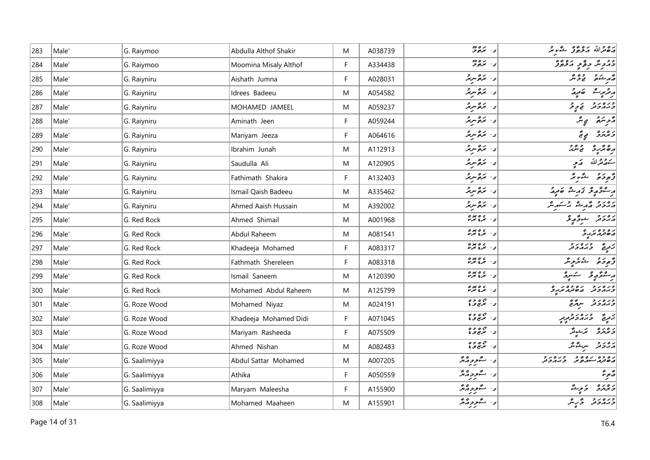| 283 | Male' | G. Raiymoo    | Abdulla Althof Shakir | M  | A038739 | ر ہ دو۔<br>ی محمد جرحر                                                                   | رە داللە مەد ئۇ ھەر                                      |
|-----|-------|---------------|-----------------------|----|---------|------------------------------------------------------------------------------------------|----------------------------------------------------------|
| 284 | Male' | G. Raiymoo    | Moomina Misaly Althof | F. | A334438 | ر ہ دو۔<br>ی محمد جرحر                                                                   | ودوبثه ولأبي منفرو                                       |
| 285 | Male' | G. Raiyniru   | Aishath Jumna         | F  | A028031 | <br> د· ترومبریز                                                                         | أور شكافته والمحافظ                                      |
| 286 | Male' | G. Raiyniru   | Idrees Badeeu         | M  | A054582 | <br> ء <sub>َ</sub> سَمَعْ سِرْمَهُ                                                      | أردر من كالمرد                                           |
| 287 | Male' | G. Raiyniru   | MOHAMED JAMEEL        | M  | A059237 | - ئىۋىىرىز                                                                               | ورەرو پەرو                                               |
| 288 | Male' | G. Raiyniru   | Aminath Jeen          | F  | A059244 | ى ئىرەپىرىگە                                                                             | أأترجم والمحمد                                           |
| 289 | Male' | G. Raiyniru   | Mariyam Jeeza         | F  | A064616 | ء <sub>ُ</sub> سموھ سرچر                                                                 | د ۱۳ د مخ مخ                                             |
| 290 | Male' | G. Raiyniru   | Ibrahim Junah         | M  | A112913 | -<br> ئ- ئىقومىزىتى                                                                      | و شرح<br>مع مترک <sup>2</sup><br>ارە ئ <sup>ې</sup> ر ئە |
| 291 | Male' | G. Raiyniru   | Saudulla Ali          | M  | A120905 | - ئىقمىرىتى                                                                              | ستوجر الله وكبحي                                         |
| 292 | Male' | G. Raiyniru   | Fathimath Shakira     | F  | A132403 | ى ئىمگەمبىر                                                                              | أوجوحهم يتحرير                                           |
| 293 | Male' | G. Raiyniru   | Ismail Qaish Badeeu   | M  | A335462 | <br>  <sub>ی</sub> ستمگرسریمه                                                            | و څوکړو تور شه ځېږه.                                     |
| 294 | Male' | G. Raiyniru   | Ahmed Aaish Hussain   | M  | A392002 | <br> د گروهریز                                                                           | رەرد ھەم ھەم جاسكى                                       |
| 295 | Male' | G. Red Rock   | Ahmed Shimail         | M  | A001968 | ې ده پوه<br>د ۱ مونځ مونو                                                                | د د د د شوگرونژ                                          |
| 296 | Male' | G. Red Rock   | Abdul Raheem          | M  | A081541 | $\begin{array}{c} 0 \times 0 & c \\ \times & \times \end{array}$                         | ره وه د ره<br>مه مرد نربر د                              |
| 297 | Male' | G. Red Rock   | Khadeeja Mohamed      | F  | A083317 | ې ده پره<br>د ۱ مرومر                                                                    | زَمِرِيحَ وَبَرُورُو                                     |
| 298 | Male' | G. Red Rock   | Fathmath Shereleen    | F  | A083318 | $\begin{array}{c} 0 \times 0 & c \\ \times & \times & c \end{array}$                     | توجرة الشمرية                                            |
| 299 | Male' | G. Red Rock   | Ismail Saneem         | M  | A120390 | ې ده پوه<br>د ۱ مونځ مونو                                                                | أرجو ويو مستسرو                                          |
| 300 | Male' | G. Red Rock   | Mohamed Abdul Raheem  | M  | A125799 | $\begin{array}{ccc} 0 & \times & 0 & c \\ \times & \times & \times & \times \end{array}$ | כנסנכ נסכסנס<br>כמתכת השתתמגב                            |
| 301 | Male' | G. Roze Wood  | Mohamed Niyaz         | M  | A024191 | م ه و ه و ه<br>د · محرج و و                                                              | כנסנכ תתם                                                |
| 302 | Male' | G. Roze Wood  | Khadeeja Mohamed Didi | F  | A071045 |                                                                                          | كرمرة وبروبروبرو<br>إن مريح وبرو وتربربر                 |
| 303 | Male' | G. Roze Wood  | Mariyam Rasheeda      | F  | A075509 |                                                                                          | رەرە ب <sub>ەشى</sub> ر<br>دىمەر بەشىر                   |
| 304 | Male' | G. Roze Wood  | Ahmed Nishan          | M  | A082483 |                                                                                          | د ه د و<br>  د بر و د س س سر شگر س                       |
| 305 | Male' | G. Saalimiyya | Abdul Sattar Mohamed  | M  | A007205 | ى سەمرىرە ئەرە                                                                           | נסכם נסמכ כנסנכ<br>השנה – מתמינ כגהכנג                   |
| 306 | Male' | G. Saalimiyya | Athika                | F. | A050559 | ى شودەپر                                                                                 | لقيمونتم                                                 |
| 307 | Male' | G. Saalimiyya | Maryam Maleesha       | F  | A155900 | ى سەمدە ھە                                                                               |                                                          |
| 308 | Male' | G. Saalimiyya | Mohamed Maaheen       | M  | A155901 | $rac{20}{70}$                                                                            | ورەرو ۋرىر                                               |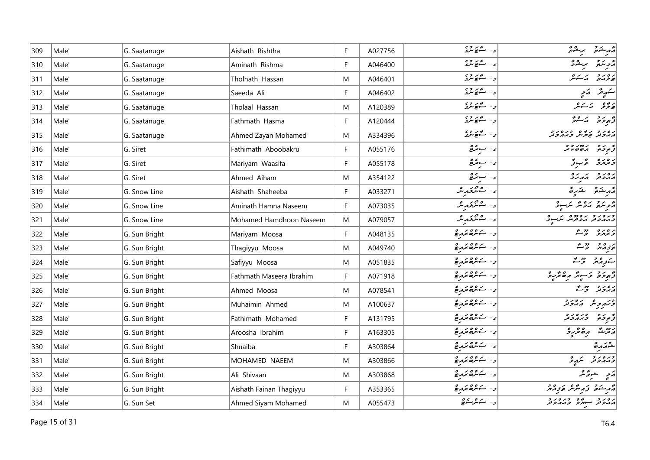| 309 | Male' | G. Saatanuge  | Aishath Rishtha          | F         | A027756 | ی گوشی وی                  | م ديده<br>مدينه موسفو                                                           |
|-----|-------|---------------|--------------------------|-----------|---------|----------------------------|---------------------------------------------------------------------------------|
| 310 | Male' | G. Saatanuge  | Aminath Rishma           | F         | A046400 | ی گوشیدی                   | أأوسكم برهو                                                                     |
| 311 | Male' | G. Saatanuge  | Tholhath Hassan          | ${\sf M}$ | A046401 | ى شۇمۇش                    | ر ه ر د<br>ج څرنه<br>ئەسەتىر                                                    |
| 312 | Male' | G. Saatanuge  | Saeeda Ali               | F         | A046402 | ی گوشیدی                   | سکوپنگر اوکامیر                                                                 |
| 313 | Male' | G. Saatanuge  | Tholaal Hassan           | M         | A120389 | ی گوشی وی                  | يۇقۇ بەسكىر                                                                     |
| 314 | Male' | G. Saatanuge  | Fathmath Hasma           | F         | A120444 | ی گوشی وی                  | $\overline{\begin{array}{ccc} 2 & 2 & 2 \\ 2 & 2 & 2 \\ 2 & 2 & 2 \end{array}}$ |
| 315 | Male' | G. Saatanuge  | Ahmed Zayan Mohamed      | M         | A334396 | ی گئے شرح                  | גם ג'ם - כגם בג'ם.<br>הגבת התית בגהבת                                           |
| 316 | Male' | G. Siret      | Fathimath Aboobakru      | F         | A055176 | ی سوټریج<br>مر             |                                                                                 |
| 317 | Male' | G. Siret      | Mariyam Waasifa          | F         | A055178 | $rac{1}{2}$<br>$rac{1}{2}$ | رەرە ئەبدۇ                                                                      |
| 318 | Male' | G. Siret      | Ahmed Aiham              | ${\sf M}$ | A354122 | ی سوټریځ<br>مر             | أمدوم مهرك                                                                      |
| 319 | Male' | G. Snow Line  | Aishath Shaheeba         | F         | A033271 | ى سەھەم بىر                | مەرشىق شىرق                                                                     |
| 320 | Male' | G. Snow Line  | Aminath Hamna Naseem     | F         | A073035 | ى ئەشرىخەر بىر             | أأأو بروا بروائر الرسور                                                         |
| 321 | Male' | G. Snow Line  | Mohamed Hamdhoon Naseem  | M         | A079057 | ى ئەشرىخەرىش               | وره رو بره دوه بر بره<br><i>وبرودو برو</i> ترس س                                |
| 322 | Male' | G. Sun Bright | Mariyam Moosa            | F         | A048135 |                            | د ه ده در م                                                                     |
| 323 | Male' | G. Sun Bright | Thagiyyu Moosa           | M         | A049740 | ى سەھ ئەرھ                 | پر وجو حقیقہ                                                                    |
| 324 | Male' | G. Sun Bright | Safiyyu Moosa            | ${\sf M}$ | A051835 | ى ئىش ھىم م                | په دورو دورو                                                                    |
| 325 | Male' | G. Sun Bright | Fathmath Maseera Ibrahim | F         | A071918 | ى سەھ ئەرھ                 | و و ده د سر په موه تر ده                                                        |
| 326 | Male' | G. Sun Bright | Ahmed Moosa              | M         | A078541 | ى سەھ ئەرەبى               | ړه رو دونه                                                                      |
| 327 | Male' | G. Sun Bright | Muhaimin Ahmed           | M         | A100637 | ى ئىش ھىم م                | وتهويش كملاحظ                                                                   |
| 328 | Male' | G. Sun Bright | Fathimath Mohamed        | F         | A131795 | $rac{1}{2}$                | و د د دره د د                                                                   |
| 329 | Male' | G. Sun Bright | Aroosha Ibrahim          | F         | A163305 |                            | پر دو پیچه<br>در کارمند<br>وە ئۆرۈ                                              |
| 330 | Male' | G. Sun Bright | Shuaiba                  | F         | A303864 | ى ئىش ھىم مۇ               | شتمدة                                                                           |
| 331 | Male' | G. Sun Bright | MOHAMED NAEEM            | ${\sf M}$ | A303866 | ى ئەھمدە                   | و ر ه ر و<br>تر پر تر تر<br>سمدقر                                               |
| 332 | Male' | G. Sun Bright | Ali Shivaan              | ${\sf M}$ | A303868 | ى ئەھمدە                   | أركمو الشوقر مكر                                                                |
| 333 | Male' | G. Sun Bright | Aishath Fainan Thagiyyu  | F         | A353365 | ى سەھ ئەرھ                 | مەر خوم كەر ئىر مۇمەر                                                           |
| 334 | Male' | G. Sun Set    | Ahmed Siyam Mohamed      | ${\sf M}$ | A055473 | ى سەھرىكەھ                 | גם גדי המסגר.<br>גגבת החתב בגגבת                                                |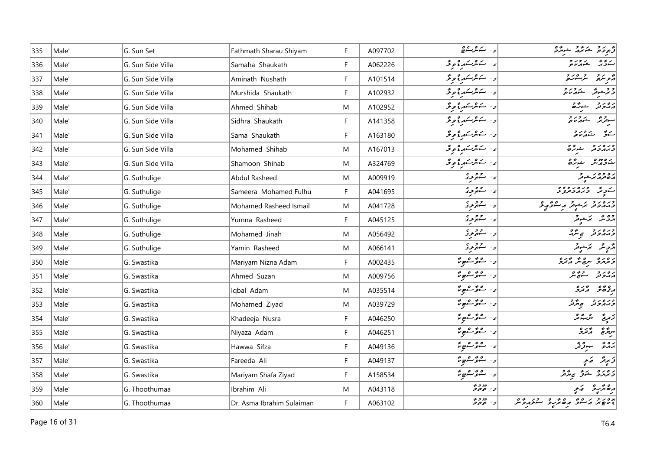| 335 | Male' | G. Sun Set        | Fathmath Sharau Shiyam    | F           | A097702 | ى سەھرىكەھ                                                                                        | وتجوحهم كمشركة كمستراكر                                 |
|-----|-------|-------------------|---------------------------|-------------|---------|---------------------------------------------------------------------------------------------------|---------------------------------------------------------|
| 336 | Male' | G. Sun Side Villa | Samaha Shaukath           | $\mathsf F$ | A062226 | ى سەھرىئەر ؟ ھەمجە                                                                                | سترخ شەدىرە                                             |
| 337 | Male' | G. Sun Side Villa | Aminath Nushath           | F           | A101514 | ى سىش ئىر ۋە ۋ                                                                                    | أأروبتهم الترامز                                        |
| 338 | Male' | G. Sun Side Villa | Murshida Shaukath         | F           | A102932 | ى سەھرىئەر دەرى                                                                                   | و د شوتر شکه در د                                       |
| 339 | Male' | G. Sun Side Villa | Ahmed Shihab              | M           | A102952 | ى سەنگەسىم قامۇق                                                                                  | رەر ئىرگە<br>مەركىر ئىرگە                               |
| 340 | Male' | G. Sun Side Villa | Sidhra Shaukath           | $\mathsf F$ | A141358 | ى سەھرىسىم دە بوڭ                                                                                 | سىدىگە شەھ بور ج                                        |
| 341 | Male' | G. Sun Side Villa | Sama Shaukath             | $\mathsf F$ | A163180 | ى سەھرىسىم قوڭر                                                                                   | سترق شەھرىدە                                            |
| 342 | Male' | G. Sun Side Villa | Mohamed Shihab            | M           | A167013 | ى سەنگەسىم قامۇق                                                                                  | ورەر د شەرى<br><i>دىد</i> ردىر شەر <i>ە</i>             |
| 343 | Male' | G. Sun Side Villa | Shamoon Shihab            | M           | A324769 | ، سەنگەر يەر قوڭر<br>مەنبەر يەر يەر يەر                                                           | ره دوه شوره<br> شورورس شوره                             |
| 344 | Male' | G. Suthulige      | Abdul Rasheed             | M           | A009919 | ى سەھىرى<br>سىھىرى                                                                                | ره وه پر <sub>شو</sub> تر<br>پره تر پر <sub>شو</sub> تر |
| 345 | Male' | G. Suthulige      | Sameera Mohamed Fulhu     | F           | A041695 | ء ستھوری<br> -                                                                                    | ر و د د د د د د د د د                                   |
| 346 | Male' | G. Suthulige      | Mohamed Rasheed Ismail    | M           | A041728 | ء ستموره<br> -                                                                                    | ورەرو برخون پرگوگوگو                                    |
| 347 | Male' | G. Suthulige      | Yumna Rasheed             | F           | A045125 | ء ستھوي <sup>ي</sup><br> -                                                                        | وه پر<br>افروس نمرشوتر                                  |
| 348 | Male' | G. Suthulige      | Mohamed Jinah             | M           | A056492 | د . شهود ،<br>اد . شهود                                                                           | ورەر د پرس                                              |
| 349 | Male' | G. Suthulige      | Yamin Rasheed             | M           | A066141 | ى سەھمىرى<br>ى                                                                                    | أثرج بكر مكرسوقر                                        |
| 350 | Male' | G. Swastika       | Mariyam Nizna Adam        | F           | A002435 | $\frac{1}{2}$ $\frac{1}{2}$ $\frac{1}{2}$ $\frac{1}{2}$ $\frac{1}{2}$ $\frac{1}{2}$ $\frac{1}{2}$ | נ פנים ניתוש ייתור בינים.<br>ביניות ברינים ולינים       |
| 351 | Male' | G. Swastika       | Ahmed Suzan               | M           | A009756 |                                                                                                   | رەر جەر                                                 |
| 352 | Male' | G. Swastika       | Iqbal Adam                | M           | A035514 | د سفره شعورته                                                                                     | ە ئەم ئەرە<br>مەنى ھۆر                                  |
| 353 | Male' | G. Swastika       | Mohamed Ziyad             | M           | A039729 | <br> د· سوه شوه شع                                                                                | כנסנכ<br>כגובבת הוצע                                    |
| 354 | Male' | G. Swastika       | Khadeeja Nusra            | F           | A046250 | د . سوڭ شوغ                                                                                       | ىتربىيەتىر<br>ئرَىمٍرٍ<br>س                             |
| 355 | Male' | G. Swastika       | Niyaza Adam               | $\mathsf F$ | A046251 | ى شۇشھۇ                                                                                           | سريح<br>پور ہ<br>مرکزو                                  |
| 356 | Male' | G. Swastika       | Hawwa Sifza               | F           | A049136 | ى سۇرمۇمۇ                                                                                         | $rac{20}{200}$<br>سبوثر                                 |
| 357 | Male' | G. Swastika       | Fareeda Ali               | F           | A049137 | ى شۇشھۇ                                                                                           | ترىرىتر - مەر                                           |
| 358 | Male' | G. Swastika       | Mariyam Shafa Ziyad       | F           | A158534 | ى شۇشھۇ                                                                                           |                                                         |
| 359 | Male' | G. Thoothumaa     | Ibrahim Ali               | M           | A043118 | د دود د.<br>د اوه د                                                                               | رە ئرىر ئىر                                             |
| 360 | Male' | G. Thoothumaa     | Dr. Asma Ibrahim Sulaiman | F           | A063102 | <br>  ی۰ می می حر                                                                                 |                                                         |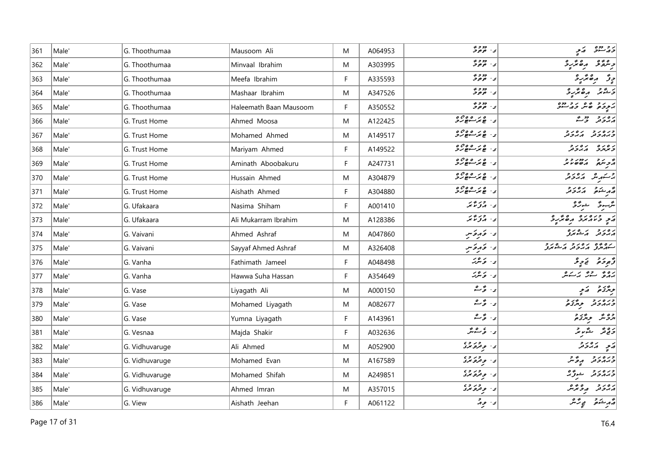| 361 | Male' | G. Thoothumaa  | Mausoom Ali            | M           | A064953 | د د د »<br>د ۰ ه ه و گ                        | ر د دوه<br>د پر سر<br>ەتە              |
|-----|-------|----------------|------------------------|-------------|---------|-----------------------------------------------|----------------------------------------|
| 362 | Male' | G. Thoothumaa  | Minvaal Ibrahim        | M           | A303995 | ود و در<br>د ۱ هرمو تر                        | اجر عدة فحر<br>ەھ ترىر 3               |
| 363 | Male' | G. Thoothumaa  | Meefa Ibrahim          | F           | A335593 | د د د ه<br>د ۰ می می تر                       | دِرٌ مِهْتَرِ دِ                       |
| 364 | Male' | G. Thoothumaa  | Mashaar Ibrahim        | M           | A347526 | د د د ه<br>د ۰ می می تر                       | ىر شەر<br>ەرھ ئ <sup>ۆ</sup> ر ۋ       |
| 365 | Male' | G. Thoothumaa  | Haleemath Baan Mausoom | F           | A350552 | د د د »<br>د ۰ ه ه وگ                         |                                        |
| 366 | Male' | G. Trust Home  | Ahmed Moosa            | M           | A122425 | ى ھىر مەم م                                   | ړه ده ده ش                             |
| 367 | Male' | G. Trust Home  | Mohamed Ahmed          | M           | A149517 | ى ھىر مەم م                                   | כנסנכ נסנכ<br>כגובת גגבת               |
| 368 | Male' | G. Trust Home  | Mariyam Ahmed          | F           | A149522 | ى ھىر مەم م                                   | נפנס נפנד.<br>כינו <i>נ</i> ב הגבע     |
| 369 | Male' | G. Trust Home  | Aminath Aboobakuru     | F           | A247731 | 3.90018.5                                     | י נר נחנדו                             |
| 370 | Male' | G. Trust Home  | Hussain Ahmed          | M           | A304879 |                                               | جر سکه شهر از براند و تعر              |
| 371 | Male' | G. Trust Home  | Aishath Ahmed          | F           | A304880 | ى ھىر مەم م                                   | مەر شەم ئەر دىر                        |
| 372 | Male' | G. Ufakaara    | Nasima Shiham          | $\mathsf F$ | A001410 | ى سىر ئەتمەتتىر                               | نگرىبود <sup>ى</sup> شو <i>رد</i> ۇ    |
| 373 | Male' | G. Ufakaara    | Ali Mukarram Ibrahim   | M           | A128386 | ى بەر ئەتر                                    | ג׳ בנוריב גם בים                       |
| 374 | Male' | G. Vaivani     | Ahmed Ashraf           | M           | A047860 | ى ئەمەئەس                                     | رەرو كەشەرە                            |
| 375 | Male' | G. Vaivani     | Sayyaf Ahmed Ashraf    | M           | A326408 | ى ئەمەئەس                                     | رەپە رەرد رەرد<br>سەمەمەنى مەركىر مشىر |
| 376 | Male' | G. Vanha       | Fathimath Jameel       | F           | A048498 | ى بە ئەنگەر                                   | تجمج فتحتفي فيحمح ومحمد                |
| 377 | Male' | G. Vanha       | Hawwa Suha Hassan      | F           | A354649 | ى بە ئەنگەر                                   | رەم ئەر ئەسەر                          |
| 378 | Male' | G. Vase        | Liyagath Ali           | M           | A000150 | ى بۇ شە                                       | ويزدة أيمو                             |
| 379 | Male' | G. Vase        | Mohamed Liyagath       | M           | A082677 | ى بۇ شە                                       | כנסים בינים                            |
| 380 | Male' | G. Vase        | Yumna Liyagath         | F.          | A143961 | ى بۇ شە                                       | כם מי ידיק ב<br>תכית ידיק בי           |
| 381 | Male' | G. Vesnaa      | Majda Shakir           | F           | A032636 | ى ئەھەتتە                                     | رەپر شەرىر                             |
| 382 | Male' | G. Vidhuvaruge | Ali Ahmed              | M           | A052900 | د ۰ وتروبر                                    | أەير مەدوم                             |
| 383 | Male' | G. Vidhuvaruge | Mohamed Evan           | M           | A167589 | و . موفر <i>و .</i><br>و . موفر <i>و بو</i> ر | وبرورو رؤيز                            |
| 384 | Male' | G. Vidhuvaruge | Mohamed Shifah         | M           | A249851 | ا د ۱۶ موتور و د د کار د ا                    | ورەر ئەرگە                             |
| 385 | Male' | G. Vidhuvaruge | Ahmed Imran            | M           | A357015 |                                               | גם גב הפית.<br>הגבת הכיתית             |
| 386 | Male' | G. View        | Aishath Jeehan         | F           | A061122 | ی وړ                                          | وكركو ويحمد                            |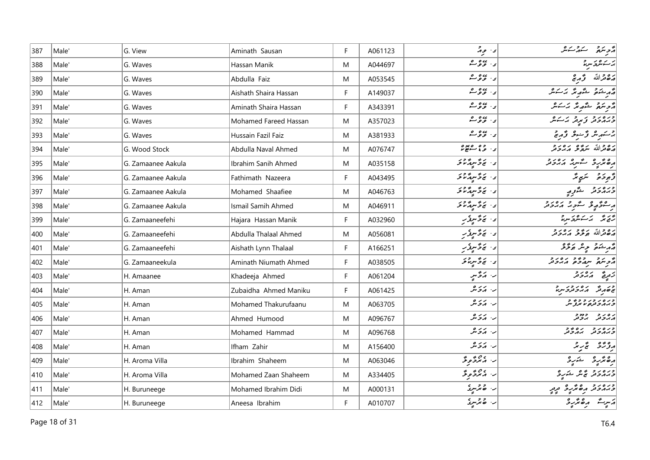| 387 | Male' | G. View            | Aminath Sausan        | F  | A061123 | ی وړ                               | $\begin{bmatrix} 2 & 2 & 2 & 2 & 3 \ 2 & 2 & 2 & 3 & 3 \ 2 & 2 & 2 & 3 & 3 \end{bmatrix}$                  |
|-----|-------|--------------------|-----------------------|----|---------|------------------------------------|------------------------------------------------------------------------------------------------------------|
| 388 | Male' | G. Waves           | Hassan Manik          | M  | A044697 | ی عوضه                             | ئەسەھەرىرە<br>  ئەسەھەرىرى                                                                                 |
| 389 | Male' | G. Waves           | Abdulla Faiz          | M  | A053545 | ی عروف                             | أرجع فرالله ومحمدهم                                                                                        |
| 390 | Male' | G. Waves           | Aishath Shaira Hassan | F. | A149037 | ی په چې ه                          | ۇرىئوق ئۇرگە كەسكىر                                                                                        |
| 391 | Male' | G. Waves           | Aminath Shaira Hassan | F  | A343391 | ی به عروف ه                        | ۇ دېنى شۇرىگە ئەسەس                                                                                        |
| 392 | Male' | G. Waves           | Mohamed Fareed Hassan | M  | A357023 | ی به چه ه<br>ی                     | ورەرو زىرى بەسەر                                                                                           |
| 393 | Male' | G. Waves           | Hussain Fazil Faiz    | M  | A381933 | ی ہے ہم ہے                         | رجستهر شر و محمد الله و محمد المحمد المحمد المحمد المحمد المحمد المحمد المحمد المحمد الله الله محمد المحمد |
| 394 | Male' | G. Wood Stock      | Abdulla Naval Ahmed   | M  | A076747 | $0 \times 0.02.5$                  | رە داللە سەۋىر مەدىر                                                                                       |
| 395 | Male' | G. Zamaanee Aakula | Ibrahim Sanih Ahmed   | M  | A035158 | ، ئۇسى <i>دىن</i>                  | رەپرىدۇ سەر ئەرەرد                                                                                         |
| 396 | Male' | G. Zamaanee Aakula | Fathimath Nazeera     | F  | A043495 | ، ئ <sup>ې</sup> رتىرى <i>دى</i> ئ | ژُهِ دَمْ دَ سَيَ پَرَ                                                                                     |
| 397 | Male' | G. Zamaanee Aakula | Mohamed Shaafiee      | M  | A046763 | .<br>ئ ئىگەمپەر <i>ئا</i> ر        | وره دو گور                                                                                                 |
| 398 | Male' | G. Zamaanee Aakula | Ismail Samih Ahmed    | M  | A046911 | ، ئ <sup>ې</sup> رتىرى <i>دى</i> ئ | رە ئور ئور دەرد                                                                                            |
| 399 | Male' | G. Zamaaneefehi    | Hajara Hassan Manik   | F  | A032960 | ى ئۇقسۇر                           |                                                                                                            |
| 400 | Male' | G. Zamaaneefehi    | Abdulla Thalaal Ahmed | M  | A056081 | ى ئۇقسىۋېر                         | رە داللە پرۇتر مەدىر                                                                                       |
| 401 | Male' | G. Zamaaneefehi    | Aishath Lynn Thalaal  | F  | A166251 | ى ئۇقسۇر                           | أمار شكافو المحمور وكالمحرف                                                                                |
| 402 | Male' | G. Zamaaneekula    | Aminath Niumath Ahmed | F  | A038505 | ى ئەڭ ئېرىدىم                      | أزويته بتمدده المدون                                                                                       |
| 403 | Male' | H. Amaanee         | Khadeeja Ahmed        | F. | A061204 | ر. ئەۋسە                           | زَمِرِيحَ   دَرُوَمَر                                                                                      |
| 404 | Male' | H. Aman            | Zubaidha Ahmed Maniku | F. | A061425 | ر. ئەخ ئىر                         | בטת ב הפרעבית                                                                                              |
| 405 | Male' | H. Aman            | Mohamed Thakurufaanu  | M  | A063705 | ر. مەخ تىر                         | و ر ه ر و ر و و و و<br><del>و</del> بر پر و ترمو س                                                         |
| 406 | Male' | H. Aman            | Ahmed Humood          | M  | A096767 | ر. مەخ تىر                         | ره رو ودوو<br>גرونر برونر                                                                                  |
| 407 | Male' | H. Aman            | Mohamed Hammad        | M  | A096768 | ر. ئەزىئە                          | כנסנכ נסשב<br>כגמכת גמכת                                                                                   |
| 408 | Male' | H. Aman            | Ifham Zahir           | M  | A156400 | ر. ئەخ ئىر                         | أمروشو مخرجه                                                                                               |
| 409 | Male' | H. Aroma Villa     | Ibrahim Shaheem       | M  | A063046 | ر. ، ، ، ، ، ، ،                   | رە ئەر ئىن ئ                                                                                               |
| 410 | Male' | H. Aroma Villa     | Mohamed Zaan Shaheem  | M  | A334405 | ر. دېږې د څ                        | ورەرو ئەر خىرى                                                                                             |
| 411 | Male' | H. Buruneege       | Mohamed Ibrahim Didi  | M  | A000131 | ر. ھېرسرچ                          | כנסנק גם ציב ענק                                                                                           |
| 412 | Male' | H. Buruneege       | Aneesa Ibrahim        | F. | A010707 | ر. ھېرسرچ                          | أمسيت مقترره                                                                                               |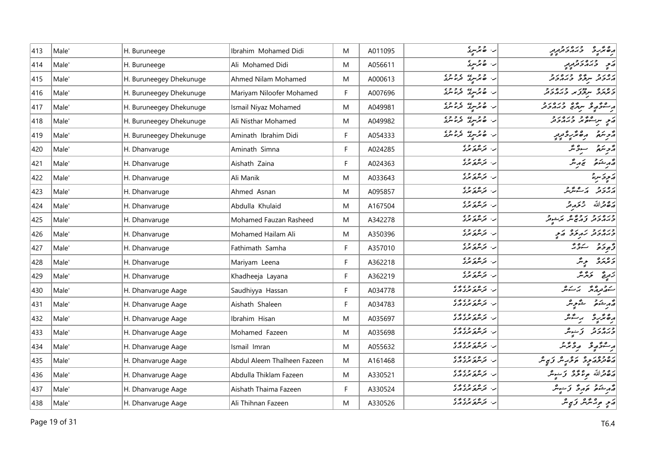| 413 | Male' | H. Buruneege            | Ibrahim Mohamed Didi        | M           | A011095 | ر، ھېرسري                                  | ره پر د در در در د                                           |
|-----|-------|-------------------------|-----------------------------|-------------|---------|--------------------------------------------|--------------------------------------------------------------|
| 414 | Male' | H. Buruneege            | Ali Mohamed Didi            | M           | A056611 | ر. ھېرسري                                  | أركمج وكالمروج والمحرور                                      |
| 415 | Male' | H. Buruneegey Dhekunuge | Ahmed Nilam Mohamed         | ${\sf M}$   | A000613 | ر . 22 درج اور 2012<br>ر. ن جرس و افراد مل | رەر دېدە درەر دې<br>مەردىيە سرگرى دىمەدىر                    |
| 416 | Male' | H. Buruneegey Dhekunuge | Mariyam Niloofer Mohamed    | E           | A007696 | ر. 22 در 20 و 20<br>ر. ھنجر سرچ تر 2 سرچ   | גם גם החג בגם גב<br>בינו <i>ניב</i> יינ <i>בציג בג</i> ובביק |
| 417 | Male' | H. Buruneegey Dhekunuge | Ismail Niyaz Mohamed        | M           | A049981 | ر. ھی سرچ موجودی<br>ر. ھی سرچ مرحم سرچ     | و صوفي و سرمان و دره د و                                     |
| 418 | Male' | H. Buruneegey Dhekunuge | Ali Nisthar Mohamed         | M           | A049982 | ر. 22 در ده ده ده ده د<br>ر. ه ترس در سر   | د موسوم دره در د                                             |
| 419 | Male' | H. Buruneegey Dhekunuge | Aminath Ibrahim Didi        | F           | A054333 | ر . ه چرم ده . د د . د                     | أأرمره مقاروس                                                |
| 420 | Male' | H. Dhanvaruge           | Aminath Simna               | F           | A024285 | ر ہے روے<br>رسمبر کا مرکز                  | وحريتكم السرحانير                                            |
| 421 | Male' | H. Dhanvaruge           | Aishath Zaina               | F           | A024363 | ر. تر بر و د<br>ر. تر بره برو              | ە مەستىقى ئىم مىگر                                           |
| 422 | Male' | H. Dhanvaruge           | Ali Manik                   | M           | A033643 | ر به تر شرح بر و پر                        | وَمزِدَ مربأ                                                 |
| 423 | Male' | H. Dhanvaruge           | Ahmed Asnan                 | M           | A095857 | ر ہے روے<br>رسمبر کا مرکز                  | رەرد برےشریر                                                 |
| 424 | Male' | H. Dhanvaruge           | Abdulla Khulaid             | M           | A167504 | ر ہے روے<br>رسمبر کا مرکز                  | رَة قرالله زَيَرَ وَتَرَ                                     |
| 425 | Male' | H. Dhanvaruge           | Mohamed Fauzan Rasheed      | M           | A342278 | ر. تر شرح بر و <sub>ب</sub>                | ورەر دېردىق كەشپەتر<br>جەمەدىر ۋەرتەش كەشپەتر                |
| 426 | Male' | H. Dhanvaruge           | Mohamed Hailam Ali          | M           | A350396 | ر ہے روے<br>رسمبر کا مرکز                  | ورەرو زېر دى ك                                               |
| 427 | Male' | H. Dhanvaruge           | Fathimath Samha             | F           | A357010 | ر ہے روے<br>رسمبر کا مرکز                  | أوجوحه سنوبر                                                 |
| 428 | Male' | H. Dhanvaruge           | Mariyam Leena               | F           | A362218 | ر ہے روے<br>رسمبر کا مرکز                  | د وړو په په                                                  |
| 429 | Male' | H. Dhanvaruge           | Khadheeja Layana            | $\mathsf F$ | A362219 | ر مرد و د<br>ر· مرسوم برو                  | زَمِيعٌ ۖ وَتَرْسَّرَ                                        |
| 430 | Male' | H. Dhanvaruge Aage      | Saudhiyya Hassan            | F           | A034778 | ر د ه ر و ، و ،<br>ر·   ترسره بر د بر د    | سەھەمەھ برسەش                                                |
| 431 | Male' | H. Dhanvaruge Aage      | Aishath Shaleen             | F           | A034783 | ر د ه ر و ، د ،<br>ر۰ ترس مرد برد .        | و<br>پر گرم شو م                                             |
| 432 | Male' | H. Dhanvaruge Aage      | Ibrahim Hisan               | M           | A035697 | ر مره د د د د د<br>ر۰ ترسرو برو د د        | ەھ ئۈرۈ                                                      |
| 433 | Male' | H. Dhanvaruge Aage      | Mohamed Fazeen              | ${\sf M}$   | A035698 | ر ده د د د د د<br>ر۰ ترسرو برد د د         | ورەرو كەنبەش                                                 |
| 434 | Male' | H. Dhanvaruge Aage      | Ismail Imran                | M           | A055632 | ر ه د د د د د د د<br>ر۰ ترسرو برو د د      | مەستۇم ئو مەر ئەس                                            |
| 435 | Male' | H. Dhanvaruge Aage      | Abdul Aleem Thalheen Fazeen | M           | A161468 | ر د ه ر و ، د ،<br>ر۰ ترس مرد برد .        | ره ده د و د ورپه ر <sub>کړ</sub> يد                          |
| 436 | Male' | H. Dhanvaruge Aage      | Abdulla Thiklam Fazeen      | M           | A330521 | ر ده د و ، و ،<br>ر۰ ترس و برد و د         | رەۋاللە موغۇۋ ئەسپىر                                         |
| 437 | Male' | H. Dhanvaruge Aage      | Aishath Thaima Fazeen       | F           | A330524 | ر د ه ر و ، و ،<br>ر·   ترسره بر د بر د    | مەر ئىكى كەرگە كەسپىل                                        |
| 438 | Male' | H. Dhanvaruge Aage      | Ali Thihnan Fazeen          | M           | A330526 | ر د ه ر و ، و ،<br>ر·   ترسره بر د بر د    | أرو مر شر تر تا با                                           |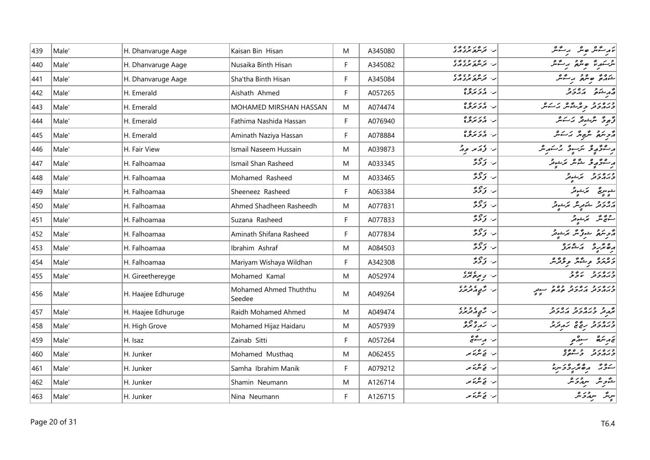| 439 | Male' | H. Dhanvaruge Aage | Kaisan Bin Hisan                 | M         | A345080 | ر ہے روے دے<br>روس کر برن کر دی             | أتأمر ستكشر حاشر الرستكشر                      |
|-----|-------|--------------------|----------------------------------|-----------|---------|---------------------------------------------|------------------------------------------------|
| 440 | Male' | H. Dhanvaruge Aage | Nusaika Binth Hisan              | F         | A345082 | ر ه د د د د د د د<br>ر۰ ترسرو برو د د       | مركبرة حاميم برسمبر                            |
| 441 | Male' | H. Dhanvaruge Aage | Sha'tha Binth Hisan              | F         | A345084 | ر ه ر و ، د ، د<br>ر·   ترسره برو برو       | أشمره و صرح برسكس                              |
| 442 | Male' | H. Emerald         | Aishath Ahmed                    | F         | A057265 | ، پر روه<br>ر <i>ونون</i> و                 | وكرمشتمو كرورو                                 |
| 443 | Male' | H. Emerald         | MOHAMED MIRSHAN HASSAN           | M         | A074474 | ر ، پروروه<br>ر ، پروبروه                   | ورەرو ویرشگر برگر                              |
| 444 | Male' | H. Emerald         | Fathima Nashida Hassan           | F         | A076940 | ، پر روه<br>ر <i>۰ م</i> رکوره              | ۇۋۇ شەرەر بەسەس                                |
| 445 | Male' | H. Emerald         | Aminath Naziya Hassan            | F         | A078884 | ، پر روه<br>ر <i>ونون</i> و                 | أأديره أأتبع أأركب                             |
| 446 | Male' | H. Fair View       | Ismail Naseem Hussain            | M         | A039873 | ر، ژوکر ود                                  | ر ھۇر ئەسرىرى بالسر                            |
| 447 | Male' | H. Falhoamaa       | Ismail Shan Rasheed              | M         | A033345 | ر . ۇردى                                    | رەمەر ھەشقىر<br>راسىۋە ھ                       |
| 448 | Male' | H. Falhoamaa       | Mohamed Rasheed                  | M         | A033465 | ر کورگانج                                   | ورەرو كەنبەتى                                  |
| 449 | Male' | H. Falhoamaa       | Sheeneez Rasheed                 | F         | A063384 | ر . ۇ ئەگ                                   | هېلينچ کې کړه کړه ک                            |
| 450 | Male' | H. Falhoamaa       | Ahmed Shadheen Rasheedh          | M         | A077831 | ر کورگانج                                   | أرور و شكور مر مر مورد                         |
| 451 | Male' | H. Falhoamaa       | Suzana Rasheed                   | F         | A077833 | ر . ۇ ئەگ                                   | السويج مين المحر شوقر<br>السويج مين المحر شوقر |
| 452 | Male' | H. Falhoamaa       | Aminath Shifana Rasheed          | F         | A077834 | ر کرگرگر                                    | أأدخر متعرفة المستورثة                         |
| 453 | Male' | H. Falhoamaa       | Ibrahim Ashraf                   | M         | A084503 | ر کورگانخ                                   | دە ئەرە ئەھمىر                                 |
| 454 | Male' | H. Falhoamaa       | Mariyam Wishaya Wildhan          | F         | A342308 | ر کورگانخ                                   | وبرود وشهر ووثرمر                              |
| 455 | Male' | H. Gireethereyge   | Mohamed Kamal                    | M         | A052974 | ے پر برے پے<br>ریس کو محری                  | 221 22012<br>CLRCK 45K                         |
| 456 | Male' | H. Haajee Edhuruge | Mohamed Ahmed Thuththu<br>Seedee | ${\sf M}$ | A049264 |                                             | 2000 2000 2000 سور<br>2000 2000 2000 ك         |
| 457 | Male' | H. Haajee Edhuruge | Raidh Mohamed Ahmed              | M         | A049474 | ر . گ م چ و و و و و<br>ر . گ مي چر تعريجو ي | ه و وره رو ره رو<br>جهر وبرمرو مدونر           |
| 458 | Male' | H. High Grove      | Mohamed Hijaz Haidaru            | M         | A057939 | ر که تره چره                                |                                                |
| 459 | Male' | H. Isaz            | Zainab Sitti                     | E         | A057264 | ر. برستم چ                                  | تمريته سرمو                                    |
| 460 | Male' | H. Junker          | Mohamed Musthaq                  | M         | A062455 | را کے مگرما تیل                             | وره رو ده ده.<br>جربه جر حسن سر                |
| 461 | Male' | H. Junker          | Samha Ibrahim Manik              | F         | A079212 | ر کے مگریم تنز                              |                                                |
| 462 | Male' | H. Junker          | Shamin Neumann                   | M         | A126714 | ر کے مگریم تنز                              | شور شهر سرد می                                 |
| 463 | Male' | H. Junker          | Nina Neumann                     | F         | A126715 | را کے مگرما مر                              | سرینڈ سروکر میں                                |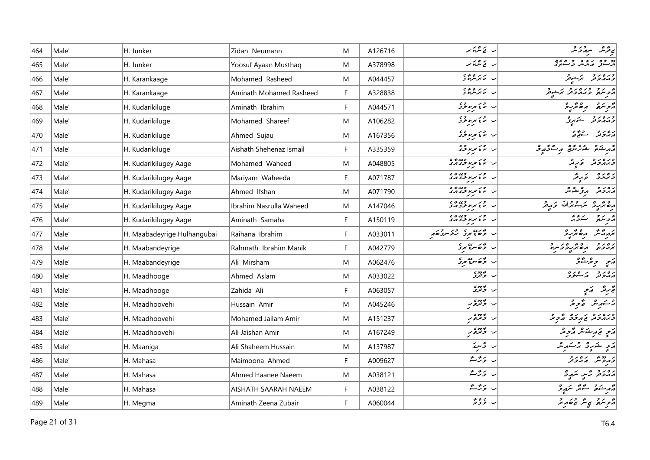| 464 | Male' | H. Junker                   | Zidan Neumann               | M         | A126716 | ر کے مگریم تنز                                                                                                                                                                                                                                                                                                                                                                                                                                                                              | يومَّرْسْ سِيرْدَسْ                    |
|-----|-------|-----------------------------|-----------------------------|-----------|---------|---------------------------------------------------------------------------------------------------------------------------------------------------------------------------------------------------------------------------------------------------------------------------------------------------------------------------------------------------------------------------------------------------------------------------------------------------------------------------------------------|----------------------------------------|
| 465 | Male' | H. Junker                   | Yoosuf Ayaan Musthaq        | M         | A378998 | ر کے مگرما مو                                                                                                                                                                                                                                                                                                                                                                                                                                                                               | מ כם גמם כםמם<br>ת—נו גתית כ—יםצ       |
| 466 | Male' | H. Karankaage               | Mohamed Rasheed             | M         | A044457 | ر. ئەنزىترىدى                                                                                                                                                                                                                                                                                                                                                                                                                                                                               | ورەرو كەشوتە                           |
| 467 | Male' | H. Karankaage               | Aminath Mohamed Rasheed     | F         | A328838 | ر. ئەندىر ھەمج                                                                                                                                                                                                                                                                                                                                                                                                                                                                              | ه دره دره در در د                      |
| 468 | Male' | H. Kudarikiluge             | Aminath Ibrahim             | F         | A044571 | ر ، گوتا پر کالوی<br>ر ، گوتا پر کالوی                                                                                                                                                                                                                                                                                                                                                                                                                                                      | أأدجني وكالمردد                        |
| 469 | Male' | H. Kudarikiluge             | Mohamed Shareef             | M         | A106282 | ر. ماء برماوه<br>ر. ماء برماوه                                                                                                                                                                                                                                                                                                                                                                                                                                                              | ورەرو ئىيرو                            |
| 470 | Male' | H. Kudarikiluge             | Ahmed Sujau                 | M         | A167356 | ر، گوتا پر بروی<br>ر، گوتا پر بروی                                                                                                                                                                                                                                                                                                                                                                                                                                                          | ره رح و و د<br>پررو تر                 |
| 471 | Male' | H. Kudarikiluge             | Aishath Shehenaz Ismail     | F         | A335359 | ر، گوتا تا تاریخ<br>مرد کا تاریخ                                                                                                                                                                                                                                                                                                                                                                                                                                                            | ۇرىشق شرىرى رىشتۇر                     |
| 472 | Male' | H. Kudarikilugey Aage       | Mohamed Waheed              | ${\sf M}$ | A048805 | ر دي برروده ده<br>ر لاء بررود در                                                                                                                                                                                                                                                                                                                                                                                                                                                            | دره در در در                           |
| 473 | Male' | H. Kudarikilugey Aage       | Mariyam Waheeda             | F         | A071787 | ر. روم سر د ده ده و                                                                                                                                                                                                                                                                                                                                                                                                                                                                         | د ۵ د م په تر                          |
| 474 | Male' | H. Kudarikilugey Aage       | Ahmed Ifshan                | M         | A071790 | $\frac{1}{2}$                                                                                                                                                                                                                                                                                                                                                                                                                                                                               | أرەر دۇشكەر                            |
| 475 | Male' | H. Kudarikilugey Aage       | Ibrahim Nasrulla Waheed     | M         | A147046 | $\begin{array}{c} c \nmid \alpha_2 \\ s \nmid \alpha_3 \nmid \alpha_4 \nmid \alpha_5 \nmid \alpha_6 \nmid \alpha_7 \nmid \alpha_8 \nmid \alpha_9 \nmid \alpha_9 \nmid \alpha_9 \nmid \alpha_9 \nmid \alpha_9 \nmid \alpha_9 \nmid \alpha_9 \nmid \alpha_9 \nmid \alpha_9 \nmid \alpha_9 \nmid \alpha_9 \nmid \alpha_9 \nmid \alpha_9 \nmid \alpha_9 \nmid \alpha_9 \nmid \alpha_9 \nmid \alpha_9 \nmid \alpha_9 \nmid \alpha_9 \nmid \alpha_9 \nmid \alpha_9 \nmid \alpha_9 \nmid \alpha_9$ | مرە ئرىرى ئىر بومراللە ئەبەتر          |
| 476 | Male' | H. Kudarikilugey Aage       | Aminath Samaha              | F         | A150119 | $\frac{1}{1}$                                                                                                                                                                                                                                                                                                                                                                                                                                                                               | ۇ جەمئە ئەسكە                          |
| 477 | Male' | H. Maabadeyrige Hulhangubai | Raihana Ibrahim             | F         | A033011 | ر ورده و در دوم                                                                                                                                                                                                                                                                                                                                                                                                                                                                             | بمدشش مقتربه                           |
| 478 | Male' | H. Maabandeyrige            | Rahmath Ibrahim Manik       | F         | A042779 | ر په څخه سره بر                                                                                                                                                                                                                                                                                                                                                                                                                                                                             | נפני הסילי פני ר                       |
| 479 | Male' | H. Maabandeyrige            | Ali Mirsham                 | M         | A062476 | ر. خەستەرى<br>ر. خەشتە بىرى                                                                                                                                                                                                                                                                                                                                                                                                                                                                 | ړې ورشوه<br>د ورشوه                    |
| 480 | Male' | H. Maadhooge                | Ahmed Aslam                 | M         | A033022 | ر به ود و تا<br>ر با انتخابی که                                                                                                                                                                                                                                                                                                                                                                                                                                                             | أرەر د سورە                            |
| 481 | Male' | H. Maadhooge                | Zahida Ali                  | F         | A063057 | ر به ود د<br>ر گرمزی                                                                                                                                                                                                                                                                                                                                                                                                                                                                        | لتج رقته وكامج                         |
| 482 | Male' | H. Maadhoovehi              | Hussain Amir                | M         | A045246 | سيدينې<br>رخو د کلوم                                                                                                                                                                                                                                                                                                                                                                                                                                                                        | برسكر شرور                             |
| 483 | Male' | H. Maadhoovehi              | Mohamed Jailam Amir         | M         | A151237 | ر به دوه ر<br>ر گلرگو ب                                                                                                                                                                                                                                                                                                                                                                                                                                                                     | כממכת בתוכל הקיל                       |
| 484 | Male' | H. Maadhoovehi              | Ali Jaishan Amir            | M         | A167249 | ر به دوه به                                                                                                                                                                                                                                                                                                                                                                                                                                                                                 | كالمح المحار وألاح المحاج المحر والمرا |
| 485 | Male' | H. Maaniga                  | Ali Shaheem Hussain         | M         | A137987 | ر. گەسمە                                                                                                                                                                                                                                                                                                                                                                                                                                                                                    | كالمح الحارق الاسكرانش                 |
| 486 | Male' | H. Mahasa                   | Maimoona Ahmed              | F         | A009627 | ر. ۇرُمىگ                                                                                                                                                                                                                                                                                                                                                                                                                                                                                   | בתכית המכת                             |
| 487 | Male' | H. Mahasa                   | Ahmed Haanee Naeem          | M         | A038121 | ر. ۇرُمىگ                                                                                                                                                                                                                                                                                                                                                                                                                                                                                   | رەر دېمبر سَمرٍ د                      |
| 488 | Male' | H. Mahasa                   | <b>AISHATH SAARAH NAEEM</b> | F         | A038122 | ر کارگ                                                                                                                                                                                                                                                                                                                                                                                                                                                                                      | مەم شىم كەنگە سەر 3                    |
| 489 | Male' | H. Megma                    | Aminath Zeena Zubair        | F         | A060044 | ر، ورو                                                                                                                                                                                                                                                                                                                                                                                                                                                                                      | أأروسكم بمستكم بمقاربه                 |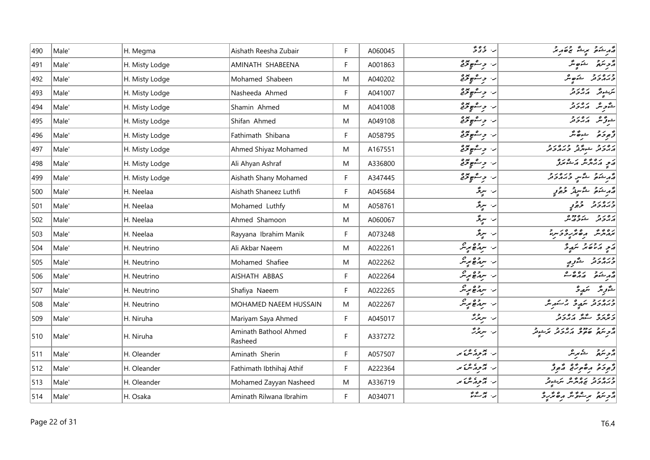| 490 | Male' | H. Megma       | Aishath Reesha Zubair            | F         | A060045 | ر کا دی گ          | أقهر شكافه مريش بمقاربته                                        |
|-----|-------|----------------|----------------------------------|-----------|---------|--------------------|-----------------------------------------------------------------|
| 491 | Male' | H. Misty Lodge | AMINATH SHABEENA                 | F         | A001863 | ر. ويشيخون         | أأرمر المتوسكر                                                  |
| 492 | Male' | H. Misty Lodge | Mohamed Shabeen                  | ${\sf M}$ | A040202 | ر. در شهوده        | ورەرو شەھ ش                                                     |
| 493 | Male' | H. Misty Lodge | Nasheeda Ahmed                   | F         | A041007 | ر. ورام پوه        | سَرَشوِتَرُ مَ بَرَه رَ وَ رَ                                   |
| 494 | Male' | H. Misty Lodge | Shamin Ahmed                     | M         | A041008 | ر. در شودهٔ        | شَرْحِ شَرْحَ رَحْمَدِ رَحْمَدِ اللَّهِ عَلَيْهِ وَاللَّهِ مِنْ |
| 495 | Male' | H. Misty Lodge | Shifan Ahmed                     | M         | A049108 | ر. در شودهٔ        | شوژ شهر پره پرو                                                 |
| 496 | Male' | H. Misty Lodge | Fathimath Shibana                | F         | A058795 | ر. بر شوده<br>ر    | أزُّبُودَةُ شِيڤَةٌ                                             |
| 497 | Male' | H. Misty Lodge | Ahmed Shiyaz Mohamed             | M         | A167551 | ر. در شودهٔ        | ر 2000 شورگرفتر و 2007<br>مربروتر شورگرفتر و برمروتر            |
| 498 | Male' | H. Misty Lodge | Ali Ahyan Ashraf                 | M         | A336800 | ار. ديسم پيوم      | وكمع وراد والمستحرق                                             |
| 499 | Male' | H. Misty Lodge | Aishath Shany Mohamed            | F         | A347445 | ر. در مقومترم      | مەر ئىكى ئىقس كەندە ب                                           |
| 500 | Male' | H. Neelaa      | Aishath Shaneez Luthfi           | F         | A045684 | ر. سرگر            | أُمَّ مِسْتَمْ شَمْسٍ مِنْ تَحْفَيْنِ                           |
| 501 | Male' | H. Neelaa      | Mohamed Luthfy                   | ${\sf M}$ | A058761 | ر . سرد .<br>مستق  | ورەر د د                                                        |
| 502 | Male' | H. Neelaa      | Ahmed Shamoon                    | ${\sf M}$ | A060067 | ر. سرگر            | ره رو در ده در ۵<br>م.رو تر شو <i>وم</i> س                      |
| 503 | Male' | H. Neelaa      | Rayyana Ibrahim Manik            | F         | A073248 | ار، سرچٌ<br>——"    | برووش مەھكروكە ئىر                                              |
| 504 | Male' | H. Neutrino    | Ali Akbar Naeem                  | M         | A022261 | ر. سرر قع پرسگر    |                                                                 |
| 505 | Male' | H. Neutrino    | Mohamed Shafiee                  | M         | A022262 | ر. سروھ سريگر      | ورەر د شور                                                      |
| 506 | Male' | H. Neutrino    | AISHATH ABBAS                    | F         | A022264 | ر. سردھ پریگر      | $2500 - 321$                                                    |
| 507 | Male' | H. Neutrino    | Shafiya Naeem                    | F         | A022265 | ر. سرد قاموینگر    | شَرْرِ مَدِدْ                                                   |
| 508 | Male' | H. Neutrino    | MOHAMED NAEEM HUSSAIN            | M         | A022267 | ر. سروفا پریگر     | ورەرو سَمرو برخىر                                               |
| 509 | Male' | H. Niruha      | Mariyam Saya Ahmed               | F         | A045017 |                    | נים נים המיני נים ניבוד.<br>המחניה היינה המיניית                |
| 510 | Male' | H. Niruha      | Aminath Bathool Ahmed<br>Rasheed | F         | A337272 | ر، سرچرچ           | ه د د درده د د د د کرخونه<br>مرد سره صور مددند نرخونه           |
| 511 | Male' | H. Oleander    | Aminath Sherin                   | F         | A057507 | ر به ترور مردیم سر | أأترجم والمحمر المراجح                                          |
| 512 | Male' | H. Oleander    | Fathimath Ibthihaj Athif         | F         | A222364 | ر بمورځ همه نمه    | وجود معمورة معود                                                |
| 513 | Male' | H. Oleander    | Mohamed Zayyan Nasheed           | M         | A336719 | ~ مجمورة عديم مد   | وره رو ره ۵ ه مرخونه<br>د بربرونر بربربر س                      |
| 514 | Male' | H. Osaka       | Aminath Rilwana Ibrahim          | F         | A034071 | ر، پڑتے تا         | أزويتهم برخوش وهنزرد                                            |
|     |       |                |                                  |           |         |                    |                                                                 |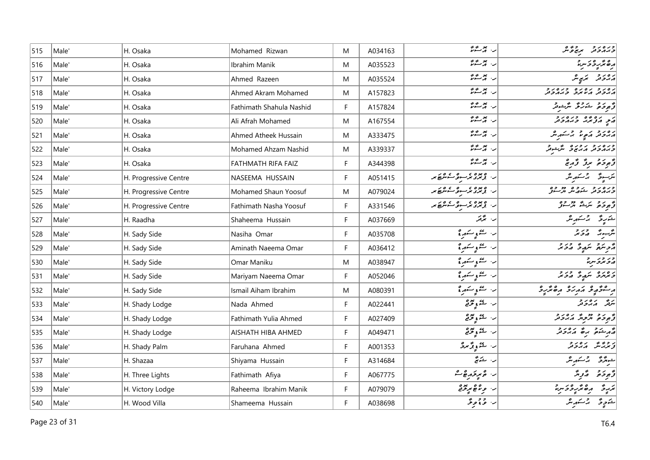| 515 | Male' | H. Osaka              | Mohamed Rizwan           | ${\sf M}$ | A034163 | ر. پوشهٔ                                                        | ورەرو دوھ                                                      |
|-----|-------|-----------------------|--------------------------|-----------|---------|-----------------------------------------------------------------|----------------------------------------------------------------|
| 516 | Male' | H. Osaka              | Ibrahim Manik            | M         | A035523 | ر، پر میٹر                                                      | ا دەنئەر دىن ئىرى <i>ن</i>                                     |
| 517 | Male' | H. Osaka              | Ahmed Razeen             | M         | A035524 | ر، پرمشند                                                       | رەرو پرېږم                                                     |
| 518 | Male' | H. Osaka              | Ahmed Akram Mohamed      | M         | A157823 | ر، پرمشند                                                       | גם גם גם גם כגם גב<br>הגבת העיגב בגהבת                         |
| 519 | Male' | H. Osaka              | Fathimath Shahula Nashid | F         | A157824 | ر، پرمشند                                                       | ۇي ئەر ئىكرى ئىر                                               |
| 520 | Male' | H. Osaka              | Ali Afrah Mohamed        | M         | A167554 | ر، پرمشنگ                                                       | ג'ב גם שם כנסנב                                                |
| 521 | Male' | H. Osaka              | Ahmed Atheek Hussain     | ${\sf M}$ | A333475 | ر. پوشهٔ                                                        | رورو روء رئيس                                                  |
| 522 | Male' | H. Osaka              | Mohamed Ahzam Nashid     | ${\sf M}$ | A339337 | ر، پڑتے تا                                                      | ورەرو رورە شىدۇ                                                |
| 523 | Male' | H. Osaka              | FATHMATH RIFA FAIZ       | F         | A344398 | ر، پر میٹر                                                      | و ده پرو و د                                                   |
| 524 | Male' | H. Progressive Centre | NASEEMA HUSSAIN          | F         | A051415 | ه بره ده ده ده ده در برخ<br>ر۰ بومرد مرسوح سومتریغ مر           | لترسوق الرسكير مر                                              |
| 525 | Male' | H. Progressive Centre | Mohamed Shaun Yoosuf     | M         | A079024 | ه بره ده ده ده ده در در کاربر<br>رسي بر مرد مر سر در سر مردم مر | وره رو در وه دو وه<br><i>و پرو</i> تر شوړس بر سوت <sub>ر</sub> |
| 526 | Male' | H. Progressive Centre | Fathimath Nasha Yoosuf   | F         | A331546 | ر. وبره و مره عمره بر                                           | و و د د سرگ دو وه                                              |
| 527 | Male' | H. Raadha             | Shaheema Hussain         | F         | A037669 |                                                                 | المتكرفة المرشر المراشر                                        |
| 528 | Male' | H. Sady Side          | Nasiha Omar              | F         | A035708 | ر. ڪ <sub>و</sub> پر ڪمبر ۾                                     | لترجيد المرواد                                                 |
| 529 | Male' | H. Sady Side          | Aminath Naeema Omar      | F         | A036412 | ر. ستوپە ئىكەر ي                                                | أأوسكم سمدفح الأوس                                             |
| 530 | Male' | H. Sady Side          | Omar Maniku              | M         | A038947 | ر. ستوپەتىدە قىلمىدە قىلمان<br>مەسىبە                           | ב ז' ב ז' גי                                                   |
| 531 | Male' | H. Sady Side          | Mariyam Naeema Omar      | F         | A052046 | ر. ڪ <sub>وڇ</sub> سنهر ۾                                       | במתכ תגל הכת                                                   |
| 532 | Male' | H. Sady Side          | Ismail Aiham Ibrahim     | ${\sf M}$ | A080391 | ر. ڪو <sub>ڇ سڪ</sub> ري                                        | و څوګړو مرکزو وهغږده                                           |
| 533 | Male' | H. Shady Lodge        | Nada Ahmed               | F         | A022441 | ر، ڪوچ چوچ                                                      | سَرَقَرَ - مَارِ وَ مَرْ                                       |
| 534 | Male' | H. Shady Lodge        | Fathimath Yulia Ahmed    | F         | A027409 | ر، ڪن <sub>ج چ</sub> ومج                                        | أوجوحه الرحالة برورد                                           |
| 535 | Male' | H. Shady Lodge        | AISHATH HIBA AHMED       | F         | A049471 | ر سننگج تخریج<br>ر                                              | م مشتور من مدون                                                |
| 536 | Male' | H. Shady Palm         | Faruhana Ahmed           | F         | A001353 | ر. ڪو ۽ گرمرو                                                   | ز وه شهر ده د و                                                |
| 537 | Male' | H. Shazaa             | Shiyama Hussain          | F         | A314684 | ر. ڪوڻج                                                         | شەرگە كەسكەرلىر                                                |
| 538 | Male' | H. Three Lights       | Fathimath Afiya          | F         | A067775 | ر. ئ <sub>ۇ بېرى</sub> زىرغ <sub>ش</sub>                        | وٌوِدَةٌ مُرْدِرٌ                                              |
| 539 | Male' | H. Victory Lodge      | Raheema Ibrahim Manik    | F         | A079079 | ر وروم پروم                                                     |                                                                |
| 540 | Male' | H. Wood Villa         | Shameema Hussain         | F         | A038698 | ر. وڏوڻ                                                         | المنورة المركبة                                                |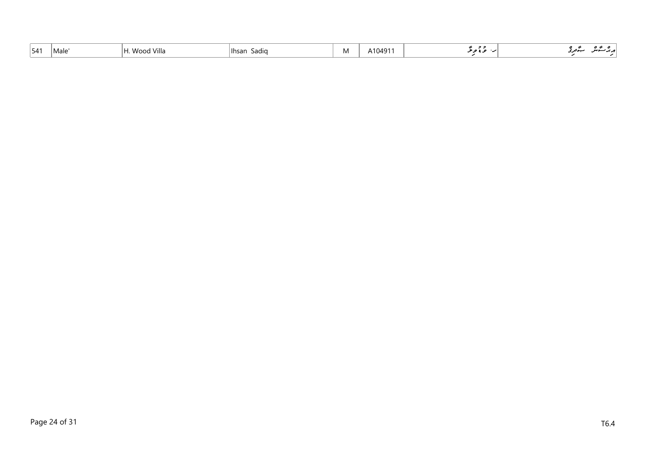| 541 | Male | Wood<br>. .<br>Villa | lhsan<br>Sadig | <b>IVI</b> | 11Q <sub>1</sub><br>A10<br>−⊤ | $\rightarrow$ 0.1 | ۔ در | سەس<br>ー |
|-----|------|----------------------|----------------|------------|-------------------------------|-------------------|------|----------|
|-----|------|----------------------|----------------|------------|-------------------------------|-------------------|------|----------|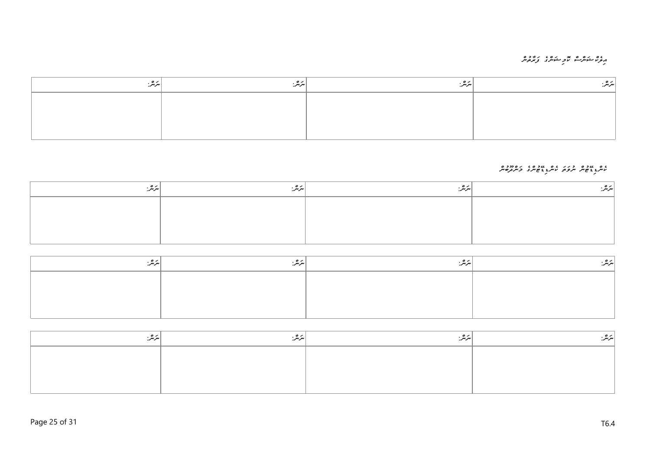## *w7qAn8m? sCw7mRo>u; wEw7mRw;sBo<*

| ' مرمر | 'يئرىثر: |
|--------|----------|
|        |          |
|        |          |
|        |          |

## *w7q9r@w7m> sCw7qHtFoFw7s; mAm=q7 w7qHtFoFw7s;*

| ىر تە | $\mathcal{O} \times$<br>$\sim$ | $\sim$<br>. . | لترنثر |
|-------|--------------------------------|---------------|--------|
|       |                                |               |        |
|       |                                |               |        |
|       |                                |               |        |

| $\frac{2}{n}$ | $^{\circ}$ | $\frac{2}{n}$ | $^{\circ}$<br>سرسر. |
|---------------|------------|---------------|---------------------|
|               |            |               |                     |
|               |            |               |                     |
|               |            |               |                     |

| ىرتىر: | 。<br>سر سر | .,<br>مرسر |
|--------|------------|------------|
|        |            |            |
|        |            |            |
|        |            |            |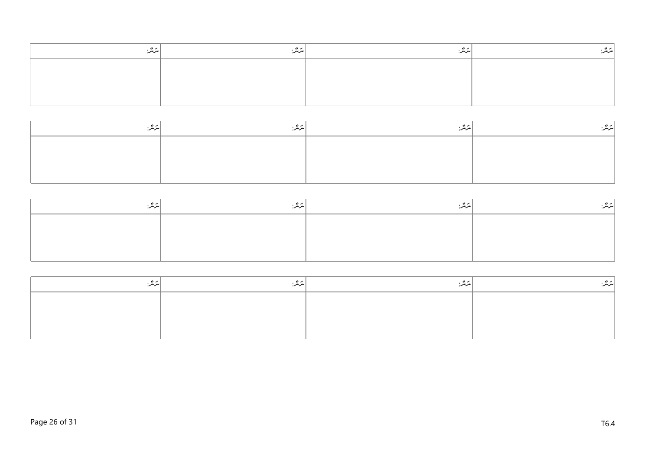| يزهر | $^{\circ}$ | ىئرىتر: |  |
|------|------------|---------|--|
|      |            |         |  |
|      |            |         |  |
|      |            |         |  |

| <sup>.</sup> سرسر. |  |
|--------------------|--|
|                    |  |
|                    |  |
|                    |  |

| ىئرىتر. | $\sim$ | ا بر هه. | لىرىش |
|---------|--------|----------|-------|
|         |        |          |       |
|         |        |          |       |
|         |        |          |       |

| 。<br>مرس. | $\overline{\phantom{a}}$<br>مر سر | يتريثر |
|-----------|-----------------------------------|--------|
|           |                                   |        |
|           |                                   |        |
|           |                                   |        |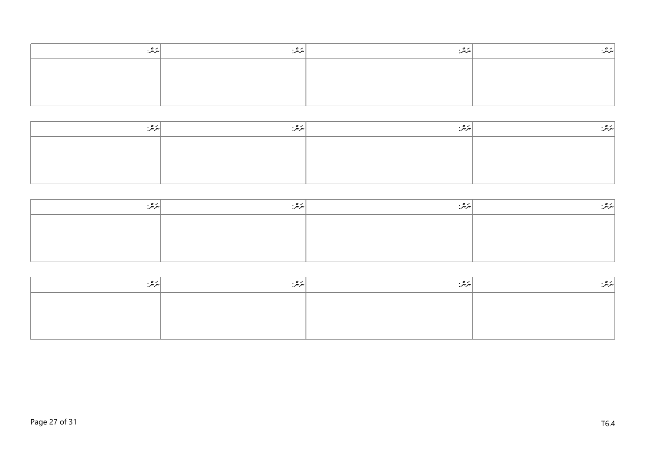| ير هو . | $\overline{\phantom{a}}$ | يرمر | اير هنه. |
|---------|--------------------------|------|----------|
|         |                          |      |          |
|         |                          |      |          |
|         |                          |      |          |

| ىر تىر: | $\circ$ $\sim$<br>" سرسر . | يترمير | o . |
|---------|----------------------------|--------|-----|
|         |                            |        |     |
|         |                            |        |     |
|         |                            |        |     |

| انترنثر: | ر ه |  |
|----------|-----|--|
|          |     |  |
|          |     |  |
|          |     |  |

|  | . ه |
|--|-----|
|  |     |
|  |     |
|  |     |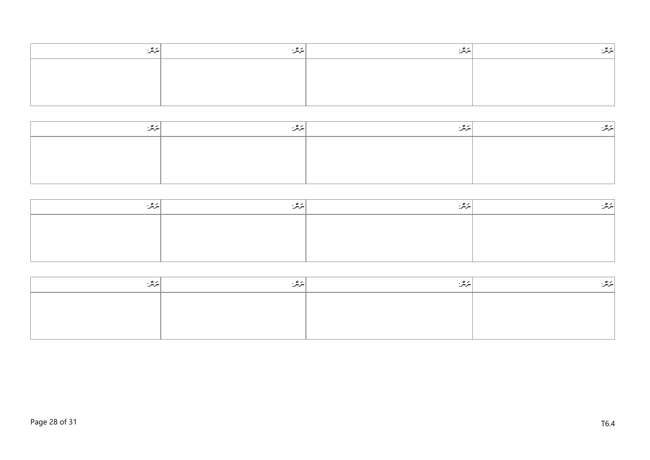| ير هو . | $\overline{\phantom{a}}$ | يرمر | اير هنه. |
|---------|--------------------------|------|----------|
|         |                          |      |          |
|         |                          |      |          |
|         |                          |      |          |

| ىر تىر: | $\circ$ $\sim$<br>" سرسر . | يترمير | o . |
|---------|----------------------------|--------|-----|
|         |                            |        |     |
|         |                            |        |     |
|         |                            |        |     |

| انترنثر: | ر ه |  |
|----------|-----|--|
|          |     |  |
|          |     |  |
|          |     |  |

|  | . ه |
|--|-----|
|  |     |
|  |     |
|  |     |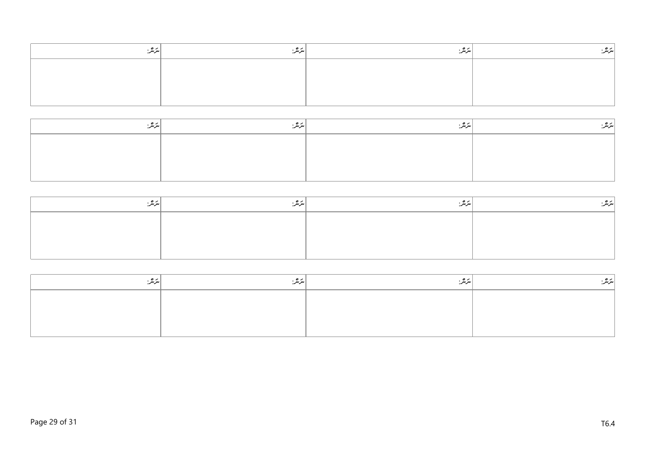| $\cdot$ | ο. | $\frac{\circ}{\cdot}$ | $\sim$<br>سرسر |
|---------|----|-----------------------|----------------|
|         |    |                       |                |
|         |    |                       |                |
|         |    |                       |                |

| ايرعر: | ر ه<br>. . |  |
|--------|------------|--|
|        |            |  |
|        |            |  |
|        |            |  |

| بر ه | 。 | $\sim$<br>َ سومس. |  |
|------|---|-------------------|--|
|      |   |                   |  |
|      |   |                   |  |
|      |   |                   |  |

| 。<br>. س | ىرىىر |  |
|----------|-------|--|
|          |       |  |
|          |       |  |
|          |       |  |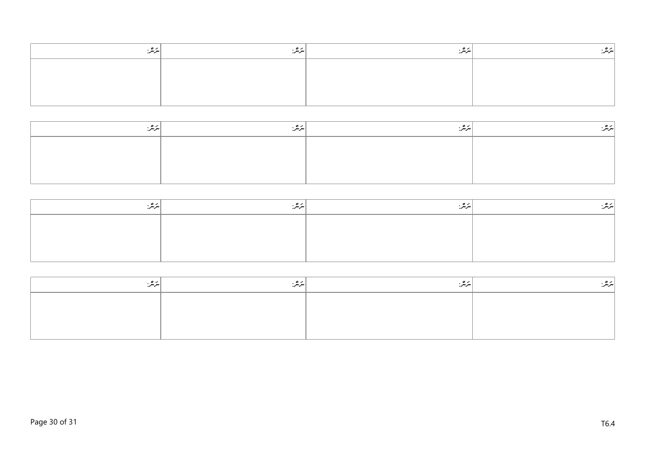| ير هو . | $\overline{\phantom{a}}$ | يرمر | اير هنه. |
|---------|--------------------------|------|----------|
|         |                          |      |          |
|         |                          |      |          |
|         |                          |      |          |

| ىر تىر: | $\circ$ $\sim$<br>" سرسر . | يترمير | o . |
|---------|----------------------------|--------|-----|
|         |                            |        |     |
|         |                            |        |     |
|         |                            |        |     |

| 'تترنثر: | ر ه |  |
|----------|-----|--|
|          |     |  |
|          |     |  |
|          |     |  |

|  | . ه |
|--|-----|
|  |     |
|  |     |
|  |     |